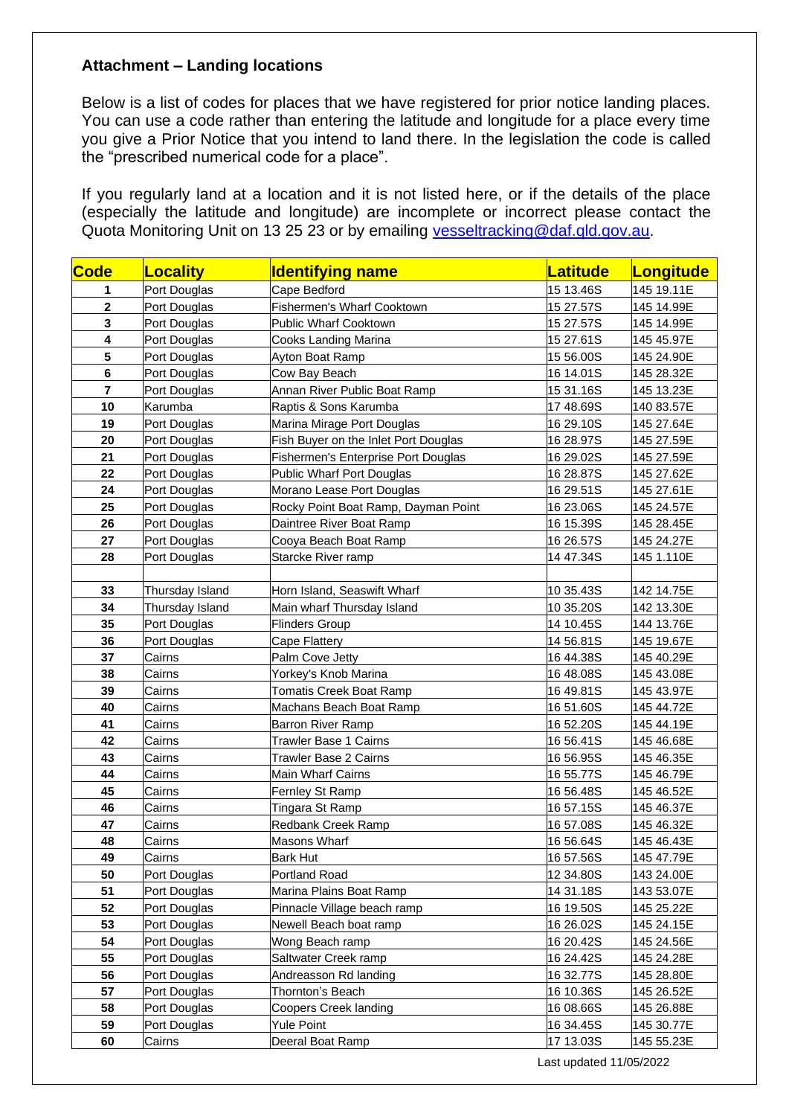## **Attachment – Landing locations**

Below is a list of codes for places that we have registered for prior notice landing places. You can use a code rather than entering the latitude and longitude for a place every time you give a Prior Notice that you intend to land there. In the legislation the code is called the "prescribed numerical code for a place".

If you regularly land at a location and it is not listed here, or if the details of the place (especially the latitude and longitude) are incomplete or incorrect please contact the Quota Monitoring Unit on 13 25 23 or by emailing [vesseltracking@daf.qld.gov.au.](mailto:vesseltracking@daf.qld.gov.au)

| Code                    | <b>Locality</b> | <b>Identifying name</b>              | <b>Latitude</b> | Longitude  |
|-------------------------|-----------------|--------------------------------------|-----------------|------------|
| 1                       | Port Douglas    | Cape Bedford                         | 15 13.46S       | 145 19.11E |
| $\overline{\mathbf{2}}$ | Port Douglas    | Fishermen's Wharf Cooktown           | 15 27.57S       | 145 14.99E |
| $\overline{\mathbf{3}}$ | Port Douglas    | <b>Public Wharf Cooktown</b>         | 15 27.57S       | 145 14.99E |
| 4                       | Port Douglas    | Cooks Landing Marina                 | 15 27.61S       | 145 45.97E |
| $\overline{\mathbf{5}}$ | Port Douglas    | <b>Ayton Boat Ramp</b>               | 15 56.00S       | 145 24.90E |
| 6                       | Port Douglas    | Cow Bay Beach                        | 16 14.01S       | 145 28.32E |
| $\overline{7}$          | Port Douglas    | Annan River Public Boat Ramp         | 15 31.16S       | 145 13.23E |
| 10                      | Karumba         | Raptis & Sons Karumba                | 17 48.69S       | 140 83.57E |
| 19                      | Port Douglas    | Marina Mirage Port Douglas           | 16 29.10S       | 145 27.64E |
| 20                      | Port Douglas    | Fish Buyer on the Inlet Port Douglas | 16 28.97S       | 145 27.59E |
| 21                      | Port Douglas    | Fishermen's Enterprise Port Douglas  | 16 29.02S       | 145 27.59E |
| 22                      | Port Douglas    | Public Wharf Port Douglas            | 16 28.87S       | 145 27.62E |
| 24                      | Port Douglas    | Morano Lease Port Douglas            | 16 29.51S       | 145 27.61E |
| 25                      | Port Douglas    | Rocky Point Boat Ramp, Dayman Point  | 16 23.06S       | 145 24.57E |
| 26                      | Port Douglas    | Daintree River Boat Ramp             | 16 15.39S       | 145 28.45E |
| 27                      | Port Douglas    | Cooya Beach Boat Ramp                | 16 26.57S       | 145 24.27E |
| 28                      | Port Douglas    | Starcke River ramp                   | 14 47.34S       | 145 1.110E |
|                         |                 |                                      |                 |            |
| 33                      | Thursday Island | Horn Island, Seaswift Wharf          | 10 35.43S       | 142 14.75E |
| 34                      | Thursday Island | Main wharf Thursday Island           | 10 35.20S       | 142 13.30E |
| 35                      | Port Douglas    | <b>Flinders Group</b>                | 14 10.45S       | 144 13.76E |
| 36                      | Port Douglas    | Cape Flattery                        | 14 56.81S       | 145 19.67E |
| 37                      | Cairns          | Palm Cove Jetty                      | 16 44.38S       | 145 40.29E |
| 38                      | Cairns          | Yorkey's Knob Marina                 | 16 48.08S       | 145 43.08E |
| 39                      | Cairns          | Tomatis Creek Boat Ramp              | 16 49.81S       | 145 43.97E |
| 40                      | Cairns          | Machans Beach Boat Ramp              | 16 51.60S       | 145 44.72E |
| 41                      | Cairns          | Barron River Ramp                    | 16 52.20S       | 145 44.19E |
| 42                      | Cairns          | <b>Trawler Base 1 Cairns</b>         | 16 56.41S       | 145 46.68E |
| 43                      | Cairns          | <b>Trawler Base 2 Cairns</b>         | 16 56.95S       | 145 46.35E |
| 44                      | Cairns          | <b>Main Wharf Cairns</b>             | 16 55.77S       | 145 46.79E |
| 45                      | Cairns          | Fernley St Ramp                      | 16 56.48S       | 145 46.52E |
| 46                      | Cairns          | Tingara St Ramp                      | 16 57.15S       | 145 46.37E |
| 47                      | Cairns          | Redbank Creek Ramp                   | 16 57.08S       | 145 46.32E |
| 48                      | Cairns          | Masons Wharf                         | 16 56.64S       | 145 46.43E |
| 49                      | Cairns          | <b>Bark Hut</b>                      | 16 57.56S       | 145 47.79E |
| 50                      | Port Douglas    | Portland Road                        | 12 34.80S       | 143 24.00E |
| 51                      | Port Douglas    | Marina Plains Boat Ramp              | 14 31.18S       | 143 53.07E |
| 52                      | Port Douglas    | Pinnacle Village beach ramp          | 16 19.50S       | 145 25.22E |
| 53                      | Port Douglas    | Newell Beach boat ramp               | 16 26.02S       | 145 24.15E |
| 54                      | Port Douglas    | Wong Beach ramp                      | 16 20.42S       | 145 24.56E |
| 55                      | Port Douglas    | Saltwater Creek ramp                 | 16 24.42S       | 145 24.28E |
| 56                      | Port Douglas    | Andreasson Rd landing                | 16 32.77S       | 145 28.80E |
| 57                      | Port Douglas    | Thornton's Beach                     | 16 10.36S       | 145 26.52E |
| 58                      | Port Douglas    | Coopers Creek landing                | 16 08.66S       | 145 26.88E |
| 59                      | Port Douglas    | Yule Point                           | 16 34.45S       | 145 30.77E |
| 60                      | Cairns          | Deeral Boat Ramp                     | 17 13.03S       | 145 55.23E |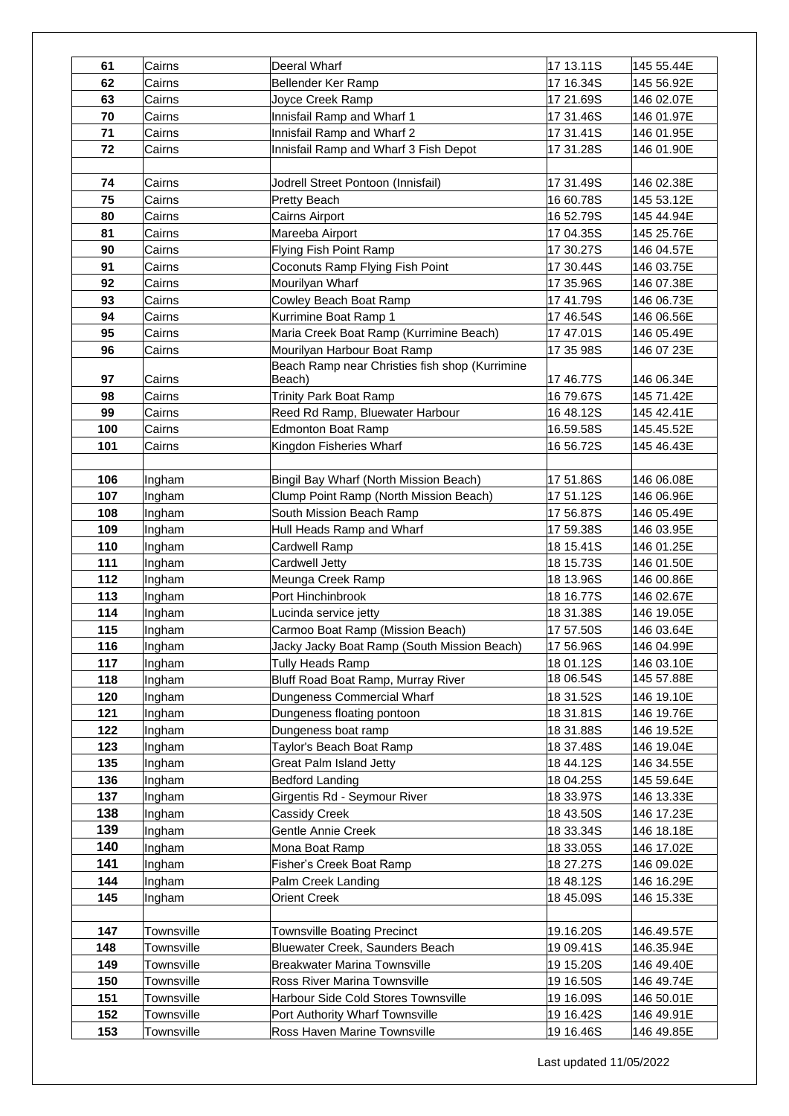| 61  | Cairns     | Deeral Wharf                                   | 17 13.11S | 145 55.44E |
|-----|------------|------------------------------------------------|-----------|------------|
| 62  | Cairns     | Bellender Ker Ramp                             | 17 16.34S | 145 56.92E |
| 63  | Cairns     | Joyce Creek Ramp                               | 17 21.69S | 146 02.07E |
| 70  | Cairns     | Innisfail Ramp and Wharf 1                     | 17 31.46S | 146 01.97E |
| 71  | Cairns     | Innisfail Ramp and Wharf 2                     | 17 31.41S | 146 01.95E |
| 72  | Cairns     | Innisfail Ramp and Wharf 3 Fish Depot          | 17 31.28S | 146 01.90E |
|     |            |                                                |           |            |
| 74  | Cairns     | Jodrell Street Pontoon (Innisfail)             | 17 31.49S | 146 02.38E |
|     |            |                                                | 16 60.78S |            |
| 75  | Cairns     | <b>Pretty Beach</b>                            |           | 145 53.12E |
| 80  | Cairns     | Cairns Airport                                 | 16 52.79S | 145 44.94E |
| 81  | Cairns     | Mareeba Airport                                | 17 04.35S | 145 25.76E |
| 90  | Cairns     | Flying Fish Point Ramp                         | 17 30.27S | 146 04.57E |
| 91  | Cairns     | Coconuts Ramp Flying Fish Point                | 17 30.44S | 146 03.75E |
| 92  | Cairns     | Mourilyan Wharf                                | 17 35.96S | 146 07.38E |
| 93  | Cairns     | Cowley Beach Boat Ramp                         | 1741.79S  | 146 06.73E |
| 94  | Cairns     | Kurrimine Boat Ramp 1                          | 17 46.54S | 146 06.56E |
| 95  | Cairns     | Maria Creek Boat Ramp (Kurrimine Beach)        | 1747.01S  | 146 05.49E |
| 96  | Cairns     | Mourilyan Harbour Boat Ramp                    | 17 35 98S | 146 07 23E |
|     |            | Beach Ramp near Christies fish shop (Kurrimine |           |            |
| 97  | Cairns     | Beach)                                         | 1746.77S  | 146 06.34E |
| 98  | Cairns     | <b>Trinity Park Boat Ramp</b>                  | 1679.67S  | 145 71.42E |
| 99  | Cairns     | Reed Rd Ramp, Bluewater Harbour                | 16 48.12S | 145 42.41E |
| 100 | Cairns     | <b>Edmonton Boat Ramp</b>                      | 16.59.58S | 145.45.52E |
| 101 | Cairns     | Kingdon Fisheries Wharf                        | 16 56.72S | 145 46.43E |
|     |            |                                                |           |            |
| 106 | Ingham     | Bingil Bay Wharf (North Mission Beach)         | 17 51.86S | 146 06.08E |
| 107 | Ingham     | Clump Point Ramp (North Mission Beach)         | 17 51.12S | 146 06.96E |
| 108 | Ingham     | South Mission Beach Ramp                       | 17 56.87S | 146 05.49E |
| 109 | Ingham     | Hull Heads Ramp and Wharf                      | 17 59.38S | 146 03.95E |
| 110 | Ingham     | Cardwell Ramp                                  | 18 15.41S | 146 01.25E |
| 111 | Ingham     | Cardwell Jetty                                 | 18 15.73S | 146 01.50E |
| 112 | Ingham     | Meunga Creek Ramp                              | 18 13.96S | 146 00.86E |
| 113 | Ingham     | Port Hinchinbrook                              | 18 16.77S | 146 02.67E |
| 114 | Ingham     | Lucinda service jetty                          | 18 31.38S | 146 19.05E |
| 115 | Ingham     | Carmoo Boat Ramp (Mission Beach)               | 17 57.50S | 146 03.64E |
| 116 | Ingham     | Jacky Jacky Boat Ramp (South Mission Beach)    | 17 56.96S | 146 04.99E |
| 117 | Ingham     | Tully Heads Ramp                               | 18 01.12S | 146 03.10E |
| 118 | Ingham     | Bluff Road Boat Ramp, Murray River             | 18 06.54S | 145 57.88E |
| 120 | Ingham     | Dungeness Commercial Wharf                     | 18 31.52S | 146 19.10E |
| 121 | Ingham     | Dungeness floating pontoon                     | 18 31.81S | 146 19.76E |
| 122 | Ingham     | Dungeness boat ramp                            | 18 31.88S | 146 19.52E |
| 123 | Ingham     | Taylor's Beach Boat Ramp                       | 18 37.48S | 146 19.04E |
| 135 | Ingham     | Great Palm Island Jetty                        | 1844.12S  | 146 34.55E |
| 136 | Ingham     | <b>Bedford Landing</b>                         | 18 04.25S | 145 59.64E |
| 137 | Ingham     | Girgentis Rd - Seymour River                   | 18 33.97S | 146 13.33E |
| 138 | Ingham     | Cassidy Creek                                  | 18 43.50S | 146 17.23E |
| 139 | Ingham     | Gentle Annie Creek                             | 18 33.34S | 146 18.18E |
| 140 | Ingham     | Mona Boat Ramp                                 | 18 33.05S | 146 17.02E |
| 141 | Ingham     | Fisher's Creek Boat Ramp                       | 18 27.27S | 146 09.02E |
| 144 | Ingham     | Palm Creek Landing                             | 18 48.12S | 146 16.29E |
| 145 | Ingham     | <b>Orient Creek</b>                            | 18 45.09S | 146 15.33E |
|     |            |                                                |           |            |
| 147 | Townsville | <b>Townsville Boating Precinct</b>             | 19.16.20S | 146.49.57E |
| 148 | Townsville | Bluewater Creek, Saunders Beach                | 19 09.41S | 146.35.94E |
| 149 | Townsville | <b>Breakwater Marina Townsville</b>            | 19 15.20S | 146 49.40E |
| 150 | Townsville | Ross River Marina Townsville                   | 19 16.50S | 146 49.74E |
| 151 |            | Harbour Side Cold Stores Townsville            |           |            |
|     | Townsville |                                                | 19 16.09S | 146 50.01E |
| 152 | Townsville | Port Authority Wharf Townsville                | 19 16.42S | 146 49.91E |
| 153 | Townsville | Ross Haven Marine Townsville                   | 19 16.46S | 146 49.85E |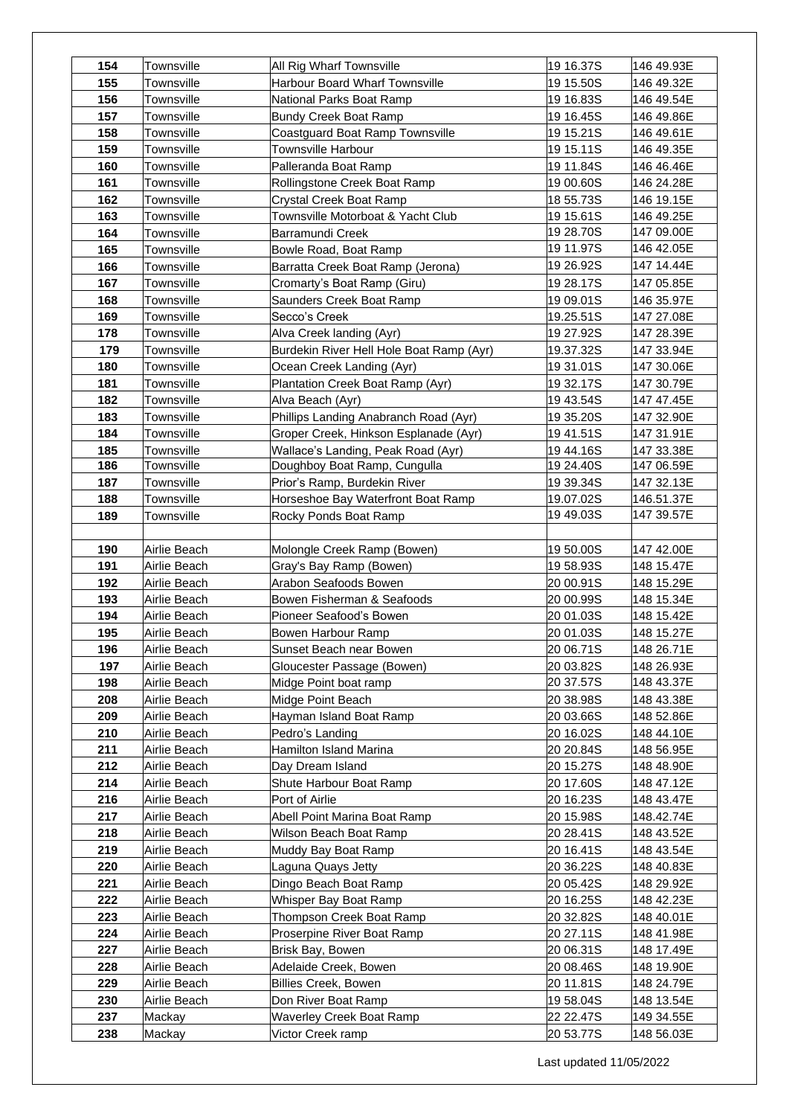| 154 | Townsville   | All Rig Wharf Townsville                 | 19 16.37S | 146 49.93E |
|-----|--------------|------------------------------------------|-----------|------------|
| 155 | Townsville   | <b>Harbour Board Wharf Townsville</b>    | 19 15.50S | 146 49.32E |
| 156 | Townsville   | National Parks Boat Ramp                 | 19 16.83S | 146 49.54E |
| 157 | Townsville   | Bundy Creek Boat Ramp                    | 19 16.45S | 146 49.86E |
| 158 | Townsville   | Coastguard Boat Ramp Townsville          | 19 15.21S | 146 49.61E |
| 159 | Townsville   | Townsville Harbour                       | 19 15.11S | 146 49.35E |
| 160 | Townsville   | Palleranda Boat Ramp                     | 19 11.84S | 146 46.46E |
| 161 | Townsville   | Rollingstone Creek Boat Ramp             | 19 00.60S | 146 24.28E |
| 162 | Townsville   | Crystal Creek Boat Ramp                  | 18 55.73S | 146 19.15E |
| 163 | Townsville   | Townsville Motorboat & Yacht Club        | 19 15.61S | 146 49.25E |
| 164 | Townsville   | Barramundi Creek                         | 19 28.70S | 147 09.00E |
| 165 | Townsville   | Bowle Road, Boat Ramp                    | 19 11.97S | 146 42.05E |
| 166 | Townsville   | Barratta Creek Boat Ramp (Jerona)        | 19 26.92S | 147 14.44E |
| 167 | Townsville   | Cromarty's Boat Ramp (Giru)              | 19 28.17S | 147 05.85E |
| 168 | Townsville   | Saunders Creek Boat Ramp                 | 19 09.01S | 146 35.97E |
| 169 | Townsville   | Secco's Creek                            | 19.25.51S | 147 27.08E |
| 178 | Townsville   | Alva Creek landing (Ayr)                 | 19 27.92S | 147 28.39E |
| 179 | Townsville   | Burdekin River Hell Hole Boat Ramp (Ayr) | 19.37.32S | 147 33.94E |
| 180 | Townsville   | Ocean Creek Landing (Ayr)                | 19 31.01S | 147 30.06E |
| 181 | Townsville   | Plantation Creek Boat Ramp (Ayr)         | 19 32.17S | 147 30.79E |
| 182 | Townsville   | Alva Beach (Ayr)                         | 19 43.54S | 147 47.45E |
| 183 | Townsville   | Phillips Landing Anabranch Road (Ayr)    | 19 35.20S | 147 32.90E |
| 184 | Townsville   | Groper Creek, Hinkson Esplanade (Ayr)    | 1941.51S  | 147 31.91E |
| 185 | Townsville   | Wallace's Landing, Peak Road (Ayr)       | 1944.16S  | 147 33.38E |
| 186 | Townsville   | Doughboy Boat Ramp, Cungulla             | 19 24.40S | 147 06.59E |
| 187 | Townsville   | Prior's Ramp, Burdekin River             | 19 39.34S | 147 32.13E |
| 188 | Townsville   | Horseshoe Bay Waterfront Boat Ramp       | 19.07.02S | 146.51.37E |
| 189 | Townsville   | Rocky Ponds Boat Ramp                    | 1949.03S  | 147 39.57E |
|     |              |                                          |           |            |
| 190 | Airlie Beach | Molongle Creek Ramp (Bowen)              | 19 50.00S | 147 42.00E |
| 191 | Airlie Beach | Gray's Bay Ramp (Bowen)                  | 1958.93S  | 148 15.47E |
| 192 | Airlie Beach | Arabon Seafoods Bowen                    | 20 00.91S | 148 15.29E |
| 193 | Airlie Beach | Bowen Fisherman & Seafoods               | 20 00.99S | 148 15.34E |
| 194 | Airlie Beach | Pioneer Seafood's Bowen                  | 20 01.03S | 148 15.42E |
| 195 | Airlie Beach | Bowen Harbour Ramp                       | 20 01.03S | 148 15.27E |
| 196 | Airlie Beach | Sunset Beach near Bowen                  | 20 06.71S | 148 26.71E |
| 197 | Airlie Beach | Gloucester Passage (Bowen)               | 20 03.82S | 148 26.93E |
| 198 | Airlie Beach | Midge Point boat ramp                    | 20 37.57S | 148 43.37E |
| 208 | Airlie Beach | Midge Point Beach                        | 20 38.98S | 148 43.38E |
| 209 | Airlie Beach | Hayman Island Boat Ramp                  | 20 03.66S | 148 52.86E |
| 210 | Airlie Beach | Pedro's Landing                          | 20 16.02S | 148 44.10E |
| 211 | Airlie Beach | Hamilton Island Marina                   | 20 20.84S | 148 56.95E |
| 212 | Airlie Beach | Day Dream Island                         | 20 15.27S | 148 48.90E |
| 214 | Airlie Beach | Shute Harbour Boat Ramp                  | 20 17.60S | 148 47.12E |
| 216 | Airlie Beach | Port of Airlie                           | 20 16.23S | 148 43.47E |
| 217 | Airlie Beach | Abell Point Marina Boat Ramp             | 20 15.98S | 148.42.74E |
| 218 | Airlie Beach | Wilson Beach Boat Ramp                   | 20 28.41S | 148 43.52E |
| 219 | Airlie Beach | Muddy Bay Boat Ramp                      | 20 16.41S | 148 43.54E |
| 220 | Airlie Beach | Laguna Quays Jetty                       | 20 36.22S | 148 40.83E |
| 221 | Airlie Beach | Dingo Beach Boat Ramp                    | 20 05.42S | 148 29.92E |
| 222 | Airlie Beach | Whisper Bay Boat Ramp                    | 20 16.25S | 148 42.23E |
| 223 | Airlie Beach | Thompson Creek Boat Ramp                 | 20 32.82S | 148 40.01E |
| 224 | Airlie Beach | Proserpine River Boat Ramp               | 20 27.11S | 148 41.98E |
| 227 | Airlie Beach | Brisk Bay, Bowen                         | 20 06.31S | 148 17.49E |
| 228 | Airlie Beach | Adelaide Creek, Bowen                    | 20 08.46S | 148 19.90E |
| 229 | Airlie Beach | <b>Billies Creek, Bowen</b>              | 20 11.81S | 148 24.79E |
| 230 | Airlie Beach | Don River Boat Ramp                      | 19 58.04S | 148 13.54E |
| 237 | Mackay       | <b>Waverley Creek Boat Ramp</b>          | 22 22.47S | 149 34.55E |
| 238 | Mackay       | Victor Creek ramp                        | 20 53.77S | 148 56.03E |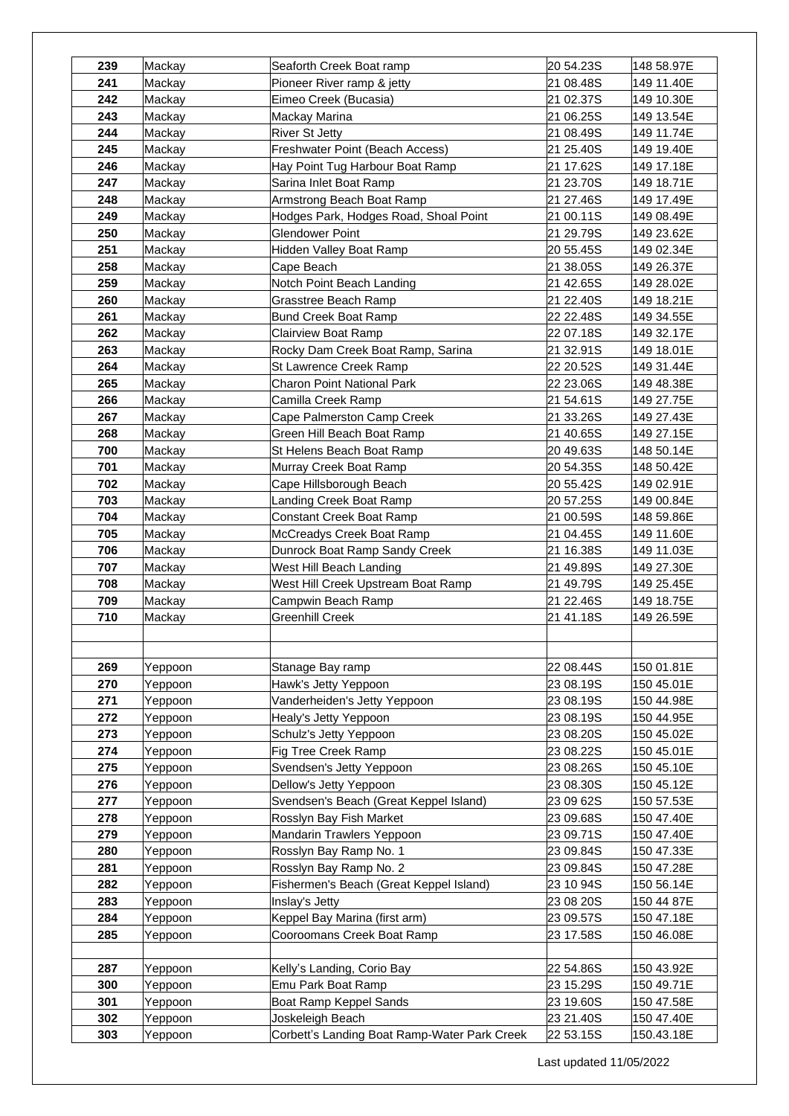| 239 | Mackay  | Seaforth Creek Boat ramp                     | 20 54.23S | 148 58.97E |
|-----|---------|----------------------------------------------|-----------|------------|
| 241 | Mackay  | Pioneer River ramp & jetty                   | 21 08.48S | 149 11.40E |
| 242 | Mackay  | Eimeo Creek (Bucasia)                        | 21 02.37S | 149 10.30E |
| 243 | Mackay  | Mackay Marina                                | 21 06.25S | 149 13.54E |
| 244 | Mackay  | <b>River St Jetty</b>                        | 21 08.49S | 149 11.74E |
| 245 | Mackay  | Freshwater Point (Beach Access)              | 21 25.40S | 149 19.40E |
| 246 | Mackay  | Hay Point Tug Harbour Boat Ramp              | 21 17.62S | 149 17.18E |
| 247 | Mackay  | Sarina Inlet Boat Ramp                       | 21 23.70S | 149 18.71E |
| 248 | Mackay  | Armstrong Beach Boat Ramp                    | 21 27.46S | 149 17.49E |
| 249 | Mackay  | Hodges Park, Hodges Road, Shoal Point        | 21 00.11S | 149 08.49E |
| 250 | Mackay  | Glendower Point                              | 21 29.79S | 149 23.62E |
| 251 | Mackay  | Hidden Valley Boat Ramp                      | 20 55.45S | 149 02.34E |
| 258 | Mackay  | Cape Beach                                   | 21 38.05S | 149 26.37E |
| 259 | Mackay  | Notch Point Beach Landing                    | 21 42.65S | 149 28.02E |
| 260 | Mackay  | Grasstree Beach Ramp                         | 21 22.40S | 149 18.21E |
| 261 | Mackay  | Bund Creek Boat Ramp                         | 22 22.48S | 149 34.55E |
| 262 | Mackay  | <b>Clairview Boat Ramp</b>                   | 22 07.18S | 149 32.17E |
| 263 | Mackay  | Rocky Dam Creek Boat Ramp, Sarina            | 21 32.91S | 149 18.01E |
| 264 | Mackay  | St Lawrence Creek Ramp                       | 22 20.52S | 149 31.44E |
| 265 | Mackay  | <b>Charon Point National Park</b>            | 22 23.06S | 149 48.38E |
| 266 | Mackay  | Camilla Creek Ramp                           | 21 54.61S | 149 27.75E |
| 267 | Mackay  | Cape Palmerston Camp Creek                   | 21 33.26S | 149 27.43E |
| 268 | Mackay  | Green Hill Beach Boat Ramp                   | 21 40.65S | 149 27.15E |
| 700 | Mackay  | St Helens Beach Boat Ramp                    | 20 49.63S | 148 50.14E |
| 701 | Mackay  | Murray Creek Boat Ramp                       | 20 54.35S | 148 50.42E |
| 702 | Mackay  | Cape Hillsborough Beach                      | 20 55.42S | 149 02.91E |
| 703 | Mackay  | Landing Creek Boat Ramp                      | 20 57.25S | 149 00.84E |
| 704 | Mackay  | Constant Creek Boat Ramp                     | 21 00.59S | 148 59.86E |
| 705 | Mackay  | McCreadys Creek Boat Ramp                    | 21 04.45S | 149 11.60E |
| 706 | Mackay  | Dunrock Boat Ramp Sandy Creek                | 21 16.38S | 149 11.03E |
| 707 | Mackay  | West Hill Beach Landing                      | 21 49.89S | 149 27.30E |
| 708 | Mackay  | West Hill Creek Upstream Boat Ramp           | 21 49.79S | 149 25.45E |
| 709 | Mackay  | Campwin Beach Ramp                           | 21 22.46S | 149 18.75E |
| 710 | Mackay  | Greenhill Creek                              | 21 41.18S | 149 26.59E |
|     |         |                                              |           |            |
|     |         |                                              |           |            |
| 269 | Yeppoon | Stanage Bay ramp                             | 22 08.44S | 150 01.81E |
| 270 | Yeppoon | Hawk's Jetty Yeppoon                         | 23 08.19S | 150 45.01E |
| 271 | Yeppoon | Vanderheiden's Jetty Yeppoon                 | 23 08.19S | 150 44.98E |
| 272 | Yeppoon | Healy's Jetty Yeppoon                        | 23 08.19S | 150 44.95E |
| 273 | Yeppoon | Schulz's Jetty Yeppoon                       | 23 08.20S | 150 45.02E |
| 274 | Yeppoon | Fig Tree Creek Ramp                          | 23 08.22S | 150 45.01E |
| 275 | Yeppoon | Svendsen's Jetty Yeppoon                     | 23 08.26S | 150 45.10E |
| 276 | Yeppoon | Dellow's Jetty Yeppoon                       | 23 08.30S | 150 45.12E |
| 277 | Yeppoon | Svendsen's Beach (Great Keppel Island)       | 23 09 62S | 150 57.53E |
| 278 | Yeppoon | Rosslyn Bay Fish Market                      | 23 09.68S | 150 47.40E |
| 279 | Yeppoon | Mandarin Trawlers Yeppoon                    | 23 09.71S | 150 47.40E |
| 280 | Yeppoon | Rosslyn Bay Ramp No. 1                       | 23 09.84S | 150 47.33E |
| 281 | Yeppoon | Rosslyn Bay Ramp No. 2                       | 23 09.84S | 150 47.28E |
| 282 | Yeppoon | Fishermen's Beach (Great Keppel Island)      | 23 10 94S | 150 56.14E |
| 283 | Yeppoon | Inslay's Jetty                               | 23 08 20S | 150 44 87E |
| 284 | Yeppoon | Keppel Bay Marina (first arm)                | 23 09.57S | 150 47.18E |
| 285 | Yeppoon | Cooroomans Creek Boat Ramp                   | 23 17.58S | 150 46.08E |
|     |         |                                              |           |            |
| 287 | Yeppoon | Kelly's Landing, Corio Bay                   | 22 54.86S | 150 43.92E |
| 300 | Yeppoon | Emu Park Boat Ramp                           | 23 15.29S | 150 49.71E |
| 301 | Yeppoon | Boat Ramp Keppel Sands                       | 23 19.60S | 150 47.58E |
| 302 | Yeppoon | Joskeleigh Beach                             | 23 21.40S | 150 47.40E |
| 303 | Yeppoon | Corbett's Landing Boat Ramp-Water Park Creek | 22 53.15S | 150.43.18E |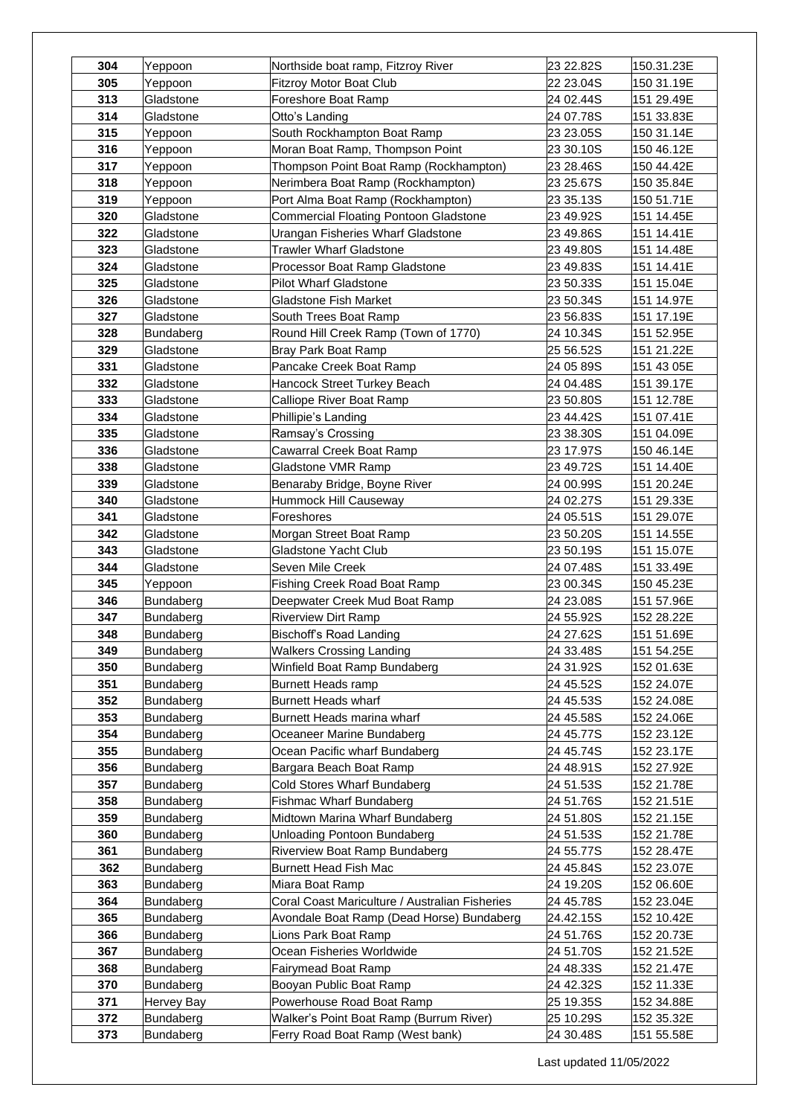| 304        | Yeppoon                       | Northside boat ramp, Fitzroy River                       | 23 22.82S              | 150.31.23E               |
|------------|-------------------------------|----------------------------------------------------------|------------------------|--------------------------|
| 305        | Yeppoon                       | Fitzroy Motor Boat Club                                  | 22 23.04S              | 150 31.19E               |
| 313        | Gladstone                     | Foreshore Boat Ramp                                      | 24 02.44S              | 151 29.49E               |
| 314        | Gladstone                     | Otto's Landing                                           | 24 07.78S              | 151 33.83E               |
| 315        | Yeppoon                       | South Rockhampton Boat Ramp                              | 23 23.05S              | 150 31.14E               |
| 316        | Yeppoon                       | Moran Boat Ramp, Thompson Point                          | 23 30.10S              | 150 46.12E               |
| 317        | Yeppoon                       | Thompson Point Boat Ramp (Rockhampton)                   | 23 28.46S              | 150 44.42E               |
| 318        | Yeppoon                       | Nerimbera Boat Ramp (Rockhampton)                        | 23 25.67S              | 150 35.84E               |
| 319        | Yeppoon                       | Port Alma Boat Ramp (Rockhampton)                        | 23 35.13S              | 150 51.71E               |
| 320        | Gladstone                     | <b>Commercial Floating Pontoon Gladstone</b>             | 23 49.92S              | 151 14.45E               |
| 322        | Gladstone                     | Urangan Fisheries Wharf Gladstone                        | 23 49.86S              | 151 14.41E               |
| 323        | Gladstone                     | <b>Trawler Wharf Gladstone</b>                           | 23 49.80S              | 151 14.48E               |
| 324        | Gladstone                     | Processor Boat Ramp Gladstone                            | 23 49.83S              | 151 14.41E               |
| 325        | Gladstone                     | <b>Pilot Wharf Gladstone</b>                             | 23 50.33S              | 151 15.04E               |
| 326        | Gladstone                     | <b>Gladstone Fish Market</b>                             | 23 50.34S              | 151 14.97E               |
| 327        | Gladstone                     | South Trees Boat Ramp                                    | 23 56.83S              | 151 17.19E               |
| 328        | Bundaberg                     | Round Hill Creek Ramp (Town of 1770)                     | 24 10.34S              | 151 52.95E               |
| 329        | Gladstone                     | Bray Park Boat Ramp                                      | 25 56.52S              | 151 21.22E               |
| 331        | Gladstone                     | Pancake Creek Boat Ramp                                  | 24 05 89S              | 151 43 05E               |
| 332        | Gladstone                     | Hancock Street Turkey Beach                              | 24 04.48S              | 151 39.17E               |
| 333        | Gladstone                     | Calliope River Boat Ramp                                 | 23 50.80S              | 151 12.78E               |
| 334        | Gladstone                     | Phillipie's Landing                                      | 23 44.42S              | 151 07.41E               |
| 335        | Gladstone                     | Ramsay's Crossing                                        | 23 38.30S              | 151 04.09E               |
| 336        | Gladstone                     | Cawarral Creek Boat Ramp                                 | 23 17.97S              | 150 46.14E               |
| 338        | Gladstone                     | Gladstone VMR Ramp                                       | 23 49.72S              | 151 14.40E               |
| 339        | Gladstone                     | Benaraby Bridge, Boyne River                             | 24 00.99S              | 151 20.24E               |
| 340        | Gladstone                     | Hummock Hill Causeway                                    | 24 02.27S              | 151 29.33E               |
| 341        | Gladstone                     | Foreshores                                               | 24 05.51S              | 151 29.07E               |
| 342        | Gladstone                     | Morgan Street Boat Ramp                                  | 23 50.20S              | 151 14.55E               |
| 343        | Gladstone                     | Gladstone Yacht Club                                     | 23 50.19S              | 151 15.07E               |
| 344        | Gladstone                     | Seven Mile Creek                                         | 24 07.48S              | 151 33.49E               |
| 345        | Yeppoon                       | Fishing Creek Road Boat Ramp                             | 23 00.34S              | 150 45.23E               |
| 346        | Bundaberg                     | Deepwater Creek Mud Boat Ramp                            | 24 23.08S              | 151 57.96E               |
| 347        | Bundaberg                     | <b>Riverview Dirt Ramp</b>                               | 24 55.92S              | 152 28.22E               |
| 348        | Bundaberg                     | Bischoff's Road Landing                                  | 24 27.62S              | 151 51.69E               |
| 349        | Bundaberg                     | <b>Walkers Crossing Landing</b>                          | 24 33.48S              | 151 54.25E               |
| 350        | Bundaberg                     | Winfield Boat Ramp Bundaberg                             | 24 31.92S              | 152 01.63E               |
| 351        | Bundaberg                     | <b>Burnett Heads ramp</b>                                | 24 45.52S              | 152 24.07E               |
| 352<br>353 | <b>Bundaberg</b>              | <b>Burnett Heads wharf</b><br>Burnett Heads marina wharf | 24 45.53S<br>24 45.58S | 152 24.08E               |
| 354        | <b>Bundaberg</b><br>Bundaberg | Oceaneer Marine Bundaberg                                | 24 45.77S              | 152 24.06E<br>152 23.12E |
| 355        | Bundaberg                     | Ocean Pacific wharf Bundaberg                            | 24 45.74S              | 152 23.17E               |
| 356        | Bundaberg                     | Bargara Beach Boat Ramp                                  | 24 48.91S              | 152 27.92E               |
| 357        | Bundaberg                     | Cold Stores Wharf Bundaberg                              | 24 51.53S              | 152 21.78E               |
| 358        | Bundaberg                     | Fishmac Wharf Bundaberg                                  | 24 51.76S              | 152 21.51E               |
| 359        | Bundaberg                     | Midtown Marina Wharf Bundaberg                           | 24 51.80S              | 152 21.15E               |
| 360        | Bundaberg                     | Unloading Pontoon Bundaberg                              | 24 51.53S              | 152 21.78E               |
| 361        | Bundaberg                     | Riverview Boat Ramp Bundaberg                            | 24 55.77S              | 152 28.47E               |
| 362        | <b>Bundaberg</b>              | Burnett Head Fish Mac                                    | 24 45.84S              | 152 23.07E               |
| 363        | <b>Bundaberg</b>              | Miara Boat Ramp                                          | 24 19.20S              | 152 06.60E               |
| 364        | Bundaberg                     | Coral Coast Mariculture / Australian Fisheries           | 24 45.78S              | 152 23.04E               |
| 365        | Bundaberg                     | Avondale Boat Ramp (Dead Horse) Bundaberg                | 24.42.15S              | 152 10.42E               |
| 366        | Bundaberg                     | Lions Park Boat Ramp                                     | 24 51.76S              | 152 20.73E               |
| 367        | Bundaberg                     | Ocean Fisheries Worldwide                                | 24 51.70S              | 152 21.52E               |
| 368        | <b>Bundaberg</b>              | Fairymead Boat Ramp                                      | 24 48.33S              | 152 21.47E               |
| 370        | <b>Bundaberg</b>              | Booyan Public Boat Ramp                                  | 24 42.32S              | 152 11.33E               |
| 371        | Hervey Bay                    | Powerhouse Road Boat Ramp                                | 25 19.35S              | 152 34.88E               |
| 372        | Bundaberg                     | Walker's Point Boat Ramp (Burrum River)                  | 25 10.29S              | 152 35.32E               |
| 373        | Bundaberg                     | Ferry Road Boat Ramp (West bank)                         | 24 30.48S              | 151 55.58E               |
|            |                               |                                                          |                        |                          |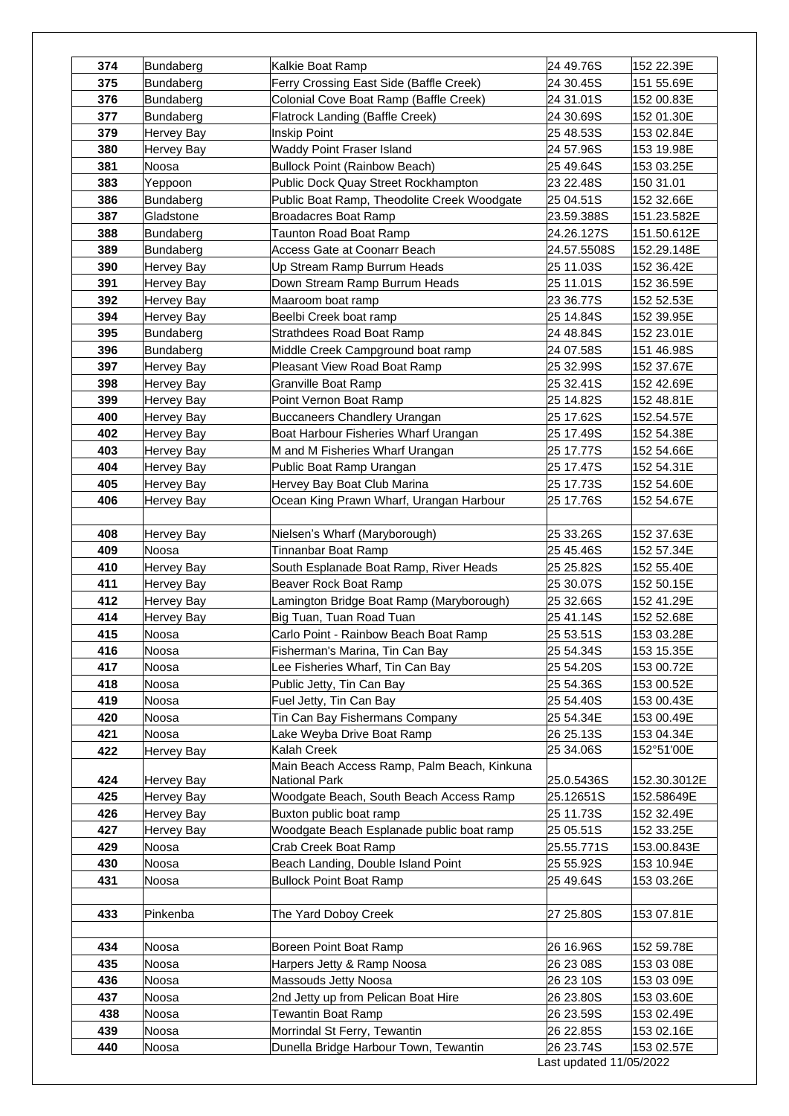| 374 | Bundaberg         | Kalkie Boat Ramp                            | 24 49.76S               | 152 22.39E   |
|-----|-------------------|---------------------------------------------|-------------------------|--------------|
| 375 | Bundaberg         | Ferry Crossing East Side (Baffle Creek)     | 24 30.45S               | 151 55.69E   |
| 376 | Bundaberg         | Colonial Cove Boat Ramp (Baffle Creek)      | 24 31.01S               | 152 00.83E   |
| 377 | Bundaberg         | Flatrock Landing (Baffle Creek)             | 24 30.69S               | 152 01.30E   |
| 379 | <b>Hervey Bay</b> | Inskip Point                                | 25 48.53S               | 153 02.84E   |
| 380 | <b>Hervey Bay</b> | Waddy Point Fraser Island                   | 24 57.96S               | 153 19.98E   |
| 381 | Noosa             | <b>Bullock Point (Rainbow Beach)</b>        | 25 49.64S               | 153 03.25E   |
| 383 | Yeppoon           | Public Dock Quay Street Rockhampton         | 23 22.48S               | 150 31.01    |
| 386 | Bundaberg         | Public Boat Ramp, Theodolite Creek Woodgate | 25 04.51S               | 152 32.66E   |
| 387 | Gladstone         | <b>Broadacres Boat Ramp</b>                 | 23.59.388S              | 151.23.582E  |
| 388 | Bundaberg         | <b>Taunton Road Boat Ramp</b>               | 24.26.127S              | 151.50.612E  |
| 389 | Bundaberg         | <b>Access Gate at Coonarr Beach</b>         | 24.57.5508S             | 152.29.148E  |
| 390 | <b>Hervey Bay</b> | Up Stream Ramp Burrum Heads                 | 25 11.03S               | 152 36.42E   |
| 391 | <b>Hervey Bay</b> | Down Stream Ramp Burrum Heads               | 25 11.01S               | 152 36.59E   |
| 392 | Hervey Bay        | Maaroom boat ramp                           | 23 36.77S               | 152 52.53E   |
| 394 | Hervey Bay        | Beelbi Creek boat ramp                      | 25 14.84S               | 152 39.95E   |
| 395 | Bundaberg         | <b>Strathdees Road Boat Ramp</b>            | 24 48.84S               | 152 23.01E   |
| 396 | Bundaberg         | Middle Creek Campground boat ramp           | 24 07.58S               | 151 46.98S   |
| 397 | Hervey Bay        | Pleasant View Road Boat Ramp                | 25 32.99S               | 152 37.67E   |
| 398 | Hervey Bay        | <b>Granville Boat Ramp</b>                  | 25 32.41S               | 152 42.69E   |
| 399 | Hervey Bay        | Point Vernon Boat Ramp                      | 25 14.82S               | 152 48.81E   |
| 400 | Hervey Bay        | Buccaneers Chandlery Urangan                | 25 17.62S               | 152.54.57E   |
| 402 | <b>Hervey Bay</b> | Boat Harbour Fisheries Wharf Urangan        | 25 17.49S               | 152 54.38E   |
| 403 | <b>Hervey Bay</b> | M and M Fisheries Wharf Urangan             | 25 17.77S               | 152 54.66E   |
| 404 | Hervey Bay        | Public Boat Ramp Urangan                    | 25 17.47S               | 152 54.31E   |
| 405 | <b>Hervey Bay</b> | Hervey Bay Boat Club Marina                 | 25 17.73S               | 152 54.60E   |
| 406 | Hervey Bay        | Ocean King Prawn Wharf, Urangan Harbour     | 25 17.76S               | 152 54.67E   |
|     |                   |                                             |                         |              |
| 408 | Hervey Bay        | Nielsen's Wharf (Maryborough)               | 25 33.26S               | 152 37.63E   |
| 409 | Noosa             | Tinnanbar Boat Ramp                         | 25 45.46S               | 152 57.34E   |
| 410 | <b>Hervey Bay</b> | South Esplanade Boat Ramp, River Heads      | 25 25.82S               | 152 55.40E   |
| 411 | Hervey Bay        | Beaver Rock Boat Ramp                       | 25 30.07S               | 152 50.15E   |
| 412 | <b>Hervey Bay</b> | Lamington Bridge Boat Ramp (Maryborough)    | 25 32.66S               | 152 41.29E   |
| 414 | <b>Hervey Bay</b> | Big Tuan, Tuan Road Tuan                    | 25 41.14S               | 152 52.68E   |
| 415 | Noosa             | Carlo Point - Rainbow Beach Boat Ramp       | 25 53.51S               | 153 03.28E   |
| 416 | Noosa             | Fisherman's Marina, Tin Can Bay             | 25 54.34S               | 153 15.35E   |
| 417 | Noosa             | Lee Fisheries Wharf, Tin Can Bay            | 25 54.20S               | 153 00.72E   |
| 418 | Noosa             | Public Jetty, Tin Can Bay                   | 25 54.36S               | 153 00.52E   |
| 419 | Noosa             | Fuel Jetty, Tin Can Bay                     | 25 54.40S               | 153 00.43E   |
| 420 | Noosa             | Tin Can Bay Fishermans Company              | 25 54.34E               | 153 00.49E   |
| 421 | Noosa             | Lake Weyba Drive Boat Ramp                  | 26 25.13S               | 153 04.34E   |
| 422 | <b>Hervey Bay</b> | Kalah Creek                                 | 25 34.06S               | 152°51'00E   |
|     |                   | Main Beach Access Ramp, Palm Beach, Kinkuna |                         |              |
| 424 | Hervey Bay        | National Park                               | 25.0.5436S              | 152.30.3012E |
| 425 | <b>Hervey Bay</b> | Woodgate Beach, South Beach Access Ramp     | 25.12651S               | 152.58649E   |
| 426 | Hervey Bay        | Buxton public boat ramp                     | 25 11.73S               | 152 32.49E   |
| 427 | Hervey Bay        | Woodgate Beach Esplanade public boat ramp   | 25 05.51S               | 152 33.25E   |
| 429 | Noosa             | Crab Creek Boat Ramp                        | 25.55.771S              | 153.00.843E  |
| 430 | Noosa             | Beach Landing, Double Island Point          | 25 55.92S               | 153 10.94E   |
| 431 | Noosa             | <b>Bullock Point Boat Ramp</b>              | 25 49.64S               | 153 03.26E   |
|     |                   |                                             |                         |              |
| 433 | Pinkenba          | The Yard Doboy Creek                        | 27 25.80S               | 153 07.81E   |
|     |                   |                                             |                         |              |
| 434 | Noosa             | Boreen Point Boat Ramp                      | 26 16.96S               | 152 59.78E   |
| 435 | Noosa             | Harpers Jetty & Ramp Noosa                  | 26 23 08S               | 153 03 08E   |
| 436 | Noosa             | Massouds Jetty Noosa                        | 26 23 10S               | 153 03 09E   |
| 437 | Noosa             | 2nd Jetty up from Pelican Boat Hire         | 26 23.80S               | 153 03.60E   |
| 438 | Noosa             | <b>Tewantin Boat Ramp</b>                   | 26 23.59S               | 153 02.49E   |
| 439 | Noosa             | Morrindal St Ferry, Tewantin                | 26 22.85S               | 153 02.16E   |
| 440 | Noosa             | Dunella Bridge Harbour Town, Tewantin       | 26 23.74S               | 153 02.57E   |
|     |                   |                                             | Last updated 11/05/2022 |              |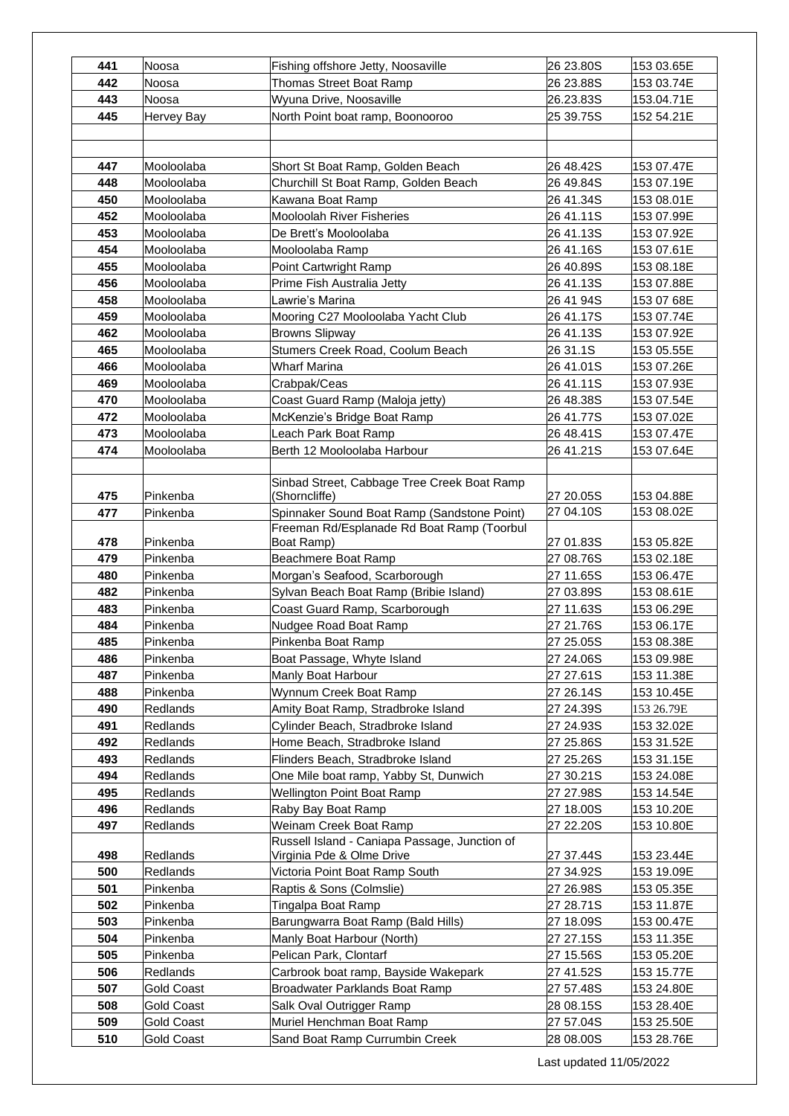| Thomas Street Boat Ramp<br>26 23.88S<br>153 03.74E<br>442<br>Noosa<br>Wyuna Drive, Noosaville<br>26.23.83S<br>153.04.71E<br>443<br>Noosa<br>445<br>North Point boat ramp, Boonooroo<br>25 39.75S<br>152 54.21E<br>Hervey Bay<br>Short St Boat Ramp, Golden Beach<br>447<br>Mooloolaba<br>26 48.42S<br>153 07.47E<br>448<br>Mooloolaba<br>Churchill St Boat Ramp, Golden Beach<br>26 49.84S<br>153 07.19E<br>450<br>Kawana Boat Ramp<br>26 41.34S<br>153 08.01E<br>Mooloolaba<br>452<br>Mooloolaba<br><b>Mooloolah River Fisheries</b><br>26 41.11S<br>153 07.99E<br>453<br>Mooloolaba<br>De Brett's Mooloolaba<br>26 41.13S<br>153 07.92E<br>454<br>26 41.16S<br>153 07.61E<br>Mooloolaba<br>Mooloolaba Ramp<br>455<br>153 08.18E<br>Mooloolaba<br>Point Cartwright Ramp<br>26 40.89S<br>456<br>Prime Fish Australia Jetty<br>26 41.13S<br>153 07.88E<br>Mooloolaba<br>458<br>26 41 94S<br>Mooloolaba<br>Lawrie's Marina<br>153 07 68E<br>459<br>Mooring C27 Mooloolaba Yacht Club<br>26 41.17S<br>153 07.74E<br>Mooloolaba<br>462<br><b>Browns Slipway</b><br>26 41.13S<br>Mooloolaba<br>153 07.92E<br>465<br>Stumers Creek Road, Coolum Beach<br>Mooloolaba<br>26 31.1S<br>153 05.55E<br>466<br>26 41.01S<br>153 07.26E<br>Mooloolaba<br>Wharf Marina<br>469<br>Mooloolaba<br>Crabpak/Ceas<br>26 41.11S<br>153 07.93E<br>Coast Guard Ramp (Maloja jetty)<br>470<br>26 48.38S<br>153 07.54E<br>Mooloolaba<br>McKenzie's Bridge Boat Ramp<br>26 41.77S<br>472<br>Mooloolaba<br>153 07.02E<br>473<br>Mooloolaba<br>Leach Park Boat Ramp<br>26 48.41S<br>153 07.47E<br>474<br>Berth 12 Mooloolaba Harbour<br>26 41.21S<br>Mooloolaba<br>153 07.64E<br>Sinbad Street, Cabbage Tree Creek Boat Ramp<br>(Shorncliffe)<br>475<br>Pinkenba<br>27 20.05S<br>153 04.88E<br>27 04.10S<br>Spinnaker Sound Boat Ramp (Sandstone Point)<br>153 08.02E<br>477<br>Pinkenba<br>Freeman Rd/Esplanade Rd Boat Ramp (Toorbul<br>478<br>Pinkenba<br>Boat Ramp)<br>27 01.83S<br>153 05.82E<br>Beachmere Boat Ramp<br>479<br>Pinkenba<br>27 08.76S<br>153 02.18E<br>Pinkenba<br>480<br>Morgan's Seafood, Scarborough<br>27 11.65S<br>153 06.47E<br>482<br>Sylvan Beach Boat Ramp (Bribie Island)<br>Pinkenba<br>27 03.89S<br>153 08.61E<br>Coast Guard Ramp, Scarborough<br>483<br>Pinkenba<br>27 11.63S<br>153 06.29E<br>484<br>Pinkenba<br>Nudgee Road Boat Ramp<br>27 21.76S<br>153 06.17E<br>485<br>Pinkenba<br>Pinkenba Boat Ramp<br>27 25.05S<br>153 08.38E<br>486<br>Pinkenba<br>Boat Passage, Whyte Island<br>27 24.06S<br>153 09.98E<br>487<br>Pinkenba<br>Manly Boat Harbour<br>27 27.61S<br>153 11.38E<br>488<br>Pinkenba<br>Wynnum Creek Boat Ramp<br>27 26.14S<br>153 10.45E<br>490<br><b>Redlands</b><br>Amity Boat Ramp, Stradbroke Island<br>27 24.39S<br>153 26.79E<br>491<br>Redlands<br>Cylinder Beach, Stradbroke Island<br>27 24.93S<br>153 32.02E<br>492<br>Redlands<br>Home Beach, Stradbroke Island<br>27 25.86S<br>153 31.52E<br>Redlands<br>Flinders Beach, Stradbroke Island<br>27 25.26S<br>153 31.15E<br>493<br>494<br><b>Redlands</b><br>One Mile boat ramp, Yabby St, Dunwich<br>27 30.21S<br>153 24.08E<br>495<br>Redlands<br><b>Wellington Point Boat Ramp</b><br>27 27.98S<br>153 14.54E<br>496<br>Redlands<br>Raby Bay Boat Ramp<br>27 18.00S<br>153 10.20E<br>497<br>Weinam Creek Boat Ramp<br>Redlands<br>27 22.20S<br>153 10.80E<br>Russell Island - Caniapa Passage, Junction of<br>498<br>Redlands<br>Virginia Pde & Olme Drive<br>27 37.44S<br>153 23.44E<br>500<br>27 34.92S<br>Redlands<br>Victoria Point Boat Ramp South<br>153 19.09E<br>501<br>Pinkenba<br>Raptis & Sons (Colmslie)<br>27 26.98S<br>153 05.35E<br>502<br>Pinkenba<br>Tingalpa Boat Ramp<br>27 28.71S<br>153 11.87E<br>503<br>Pinkenba<br>Barungwarra Boat Ramp (Bald Hills)<br>27 18.09S<br>153 00.47E<br>504<br>Pinkenba<br>Manly Boat Harbour (North)<br>27 27.15S<br>153 11.35E<br>505<br>Pelican Park, Clontarf<br>27 15.56S<br>153 05.20E<br>Pinkenba<br>506<br>Redlands<br>Carbrook boat ramp, Bayside Wakepark<br>27 41.52S<br>153 15.77E<br>507<br>27 57.48S<br>153 24.80E<br><b>Gold Coast</b><br>Broadwater Parklands Boat Ramp<br>508<br><b>Gold Coast</b><br>Salk Oval Outrigger Ramp<br>28 08.15S<br>153 28.40E<br>509<br>Muriel Henchman Boat Ramp<br>27 57.04S<br>153 25.50E<br><b>Gold Coast</b><br>510<br><b>Gold Coast</b><br>Sand Boat Ramp Currumbin Creek<br>28 08.00S<br>153 28.76E | 441 | Noosa | Fishing offshore Jetty, Noosaville | 26 23.80S | 153 03.65E |
|---------------------------------------------------------------------------------------------------------------------------------------------------------------------------------------------------------------------------------------------------------------------------------------------------------------------------------------------------------------------------------------------------------------------------------------------------------------------------------------------------------------------------------------------------------------------------------------------------------------------------------------------------------------------------------------------------------------------------------------------------------------------------------------------------------------------------------------------------------------------------------------------------------------------------------------------------------------------------------------------------------------------------------------------------------------------------------------------------------------------------------------------------------------------------------------------------------------------------------------------------------------------------------------------------------------------------------------------------------------------------------------------------------------------------------------------------------------------------------------------------------------------------------------------------------------------------------------------------------------------------------------------------------------------------------------------------------------------------------------------------------------------------------------------------------------------------------------------------------------------------------------------------------------------------------------------------------------------------------------------------------------------------------------------------------------------------------------------------------------------------------------------------------------------------------------------------------------------------------------------------------------------------------------------------------------------------------------------------------------------------------------------------------------------------------------------------------------------------------------------------------------------------------------------------------------------------------------------------------------------------------------------------------------------------------------------------------------------------------------------------------------------------------------------------------------------------------------------------------------------------------------------------------------------------------------------------------------------------------------------------------------------------------------------------------------------------------------------------------------------------------------------------------------------------------------------------------------------------------------------------------------------------------------------------------------------------------------------------------------------------------------------------------------------------------------------------------------------------------------------------------------------------------------------------------------------------------------------------------------------------------------------------------------------------------------------------------------------------------------------------------------------------------------------------------------------------------------------------------------------------------------------------------------------------------------------------------------------------------------------------------------------------------------------------------------------------------------------------------------------------------------------------------------------------------------------------------------------------------------------------------------------------------------------------------------------------------------------------------------------------------------------------|-----|-------|------------------------------------|-----------|------------|
|                                                                                                                                                                                                                                                                                                                                                                                                                                                                                                                                                                                                                                                                                                                                                                                                                                                                                                                                                                                                                                                                                                                                                                                                                                                                                                                                                                                                                                                                                                                                                                                                                                                                                                                                                                                                                                                                                                                                                                                                                                                                                                                                                                                                                                                                                                                                                                                                                                                                                                                                                                                                                                                                                                                                                                                                                                                                                                                                                                                                                                                                                                                                                                                                                                                                                                                                                                                                                                                                                                                                                                                                                                                                                                                                                                                                                                                                                                                                                                                                                                                                                                                                                                                                                                                                                                                                                                                                   |     |       |                                    |           |            |
|                                                                                                                                                                                                                                                                                                                                                                                                                                                                                                                                                                                                                                                                                                                                                                                                                                                                                                                                                                                                                                                                                                                                                                                                                                                                                                                                                                                                                                                                                                                                                                                                                                                                                                                                                                                                                                                                                                                                                                                                                                                                                                                                                                                                                                                                                                                                                                                                                                                                                                                                                                                                                                                                                                                                                                                                                                                                                                                                                                                                                                                                                                                                                                                                                                                                                                                                                                                                                                                                                                                                                                                                                                                                                                                                                                                                                                                                                                                                                                                                                                                                                                                                                                                                                                                                                                                                                                                                   |     |       |                                    |           |            |
|                                                                                                                                                                                                                                                                                                                                                                                                                                                                                                                                                                                                                                                                                                                                                                                                                                                                                                                                                                                                                                                                                                                                                                                                                                                                                                                                                                                                                                                                                                                                                                                                                                                                                                                                                                                                                                                                                                                                                                                                                                                                                                                                                                                                                                                                                                                                                                                                                                                                                                                                                                                                                                                                                                                                                                                                                                                                                                                                                                                                                                                                                                                                                                                                                                                                                                                                                                                                                                                                                                                                                                                                                                                                                                                                                                                                                                                                                                                                                                                                                                                                                                                                                                                                                                                                                                                                                                                                   |     |       |                                    |           |            |
|                                                                                                                                                                                                                                                                                                                                                                                                                                                                                                                                                                                                                                                                                                                                                                                                                                                                                                                                                                                                                                                                                                                                                                                                                                                                                                                                                                                                                                                                                                                                                                                                                                                                                                                                                                                                                                                                                                                                                                                                                                                                                                                                                                                                                                                                                                                                                                                                                                                                                                                                                                                                                                                                                                                                                                                                                                                                                                                                                                                                                                                                                                                                                                                                                                                                                                                                                                                                                                                                                                                                                                                                                                                                                                                                                                                                                                                                                                                                                                                                                                                                                                                                                                                                                                                                                                                                                                                                   |     |       |                                    |           |            |
|                                                                                                                                                                                                                                                                                                                                                                                                                                                                                                                                                                                                                                                                                                                                                                                                                                                                                                                                                                                                                                                                                                                                                                                                                                                                                                                                                                                                                                                                                                                                                                                                                                                                                                                                                                                                                                                                                                                                                                                                                                                                                                                                                                                                                                                                                                                                                                                                                                                                                                                                                                                                                                                                                                                                                                                                                                                                                                                                                                                                                                                                                                                                                                                                                                                                                                                                                                                                                                                                                                                                                                                                                                                                                                                                                                                                                                                                                                                                                                                                                                                                                                                                                                                                                                                                                                                                                                                                   |     |       |                                    |           |            |
|                                                                                                                                                                                                                                                                                                                                                                                                                                                                                                                                                                                                                                                                                                                                                                                                                                                                                                                                                                                                                                                                                                                                                                                                                                                                                                                                                                                                                                                                                                                                                                                                                                                                                                                                                                                                                                                                                                                                                                                                                                                                                                                                                                                                                                                                                                                                                                                                                                                                                                                                                                                                                                                                                                                                                                                                                                                                                                                                                                                                                                                                                                                                                                                                                                                                                                                                                                                                                                                                                                                                                                                                                                                                                                                                                                                                                                                                                                                                                                                                                                                                                                                                                                                                                                                                                                                                                                                                   |     |       |                                    |           |            |
|                                                                                                                                                                                                                                                                                                                                                                                                                                                                                                                                                                                                                                                                                                                                                                                                                                                                                                                                                                                                                                                                                                                                                                                                                                                                                                                                                                                                                                                                                                                                                                                                                                                                                                                                                                                                                                                                                                                                                                                                                                                                                                                                                                                                                                                                                                                                                                                                                                                                                                                                                                                                                                                                                                                                                                                                                                                                                                                                                                                                                                                                                                                                                                                                                                                                                                                                                                                                                                                                                                                                                                                                                                                                                                                                                                                                                                                                                                                                                                                                                                                                                                                                                                                                                                                                                                                                                                                                   |     |       |                                    |           |            |
|                                                                                                                                                                                                                                                                                                                                                                                                                                                                                                                                                                                                                                                                                                                                                                                                                                                                                                                                                                                                                                                                                                                                                                                                                                                                                                                                                                                                                                                                                                                                                                                                                                                                                                                                                                                                                                                                                                                                                                                                                                                                                                                                                                                                                                                                                                                                                                                                                                                                                                                                                                                                                                                                                                                                                                                                                                                                                                                                                                                                                                                                                                                                                                                                                                                                                                                                                                                                                                                                                                                                                                                                                                                                                                                                                                                                                                                                                                                                                                                                                                                                                                                                                                                                                                                                                                                                                                                                   |     |       |                                    |           |            |
|                                                                                                                                                                                                                                                                                                                                                                                                                                                                                                                                                                                                                                                                                                                                                                                                                                                                                                                                                                                                                                                                                                                                                                                                                                                                                                                                                                                                                                                                                                                                                                                                                                                                                                                                                                                                                                                                                                                                                                                                                                                                                                                                                                                                                                                                                                                                                                                                                                                                                                                                                                                                                                                                                                                                                                                                                                                                                                                                                                                                                                                                                                                                                                                                                                                                                                                                                                                                                                                                                                                                                                                                                                                                                                                                                                                                                                                                                                                                                                                                                                                                                                                                                                                                                                                                                                                                                                                                   |     |       |                                    |           |            |
|                                                                                                                                                                                                                                                                                                                                                                                                                                                                                                                                                                                                                                                                                                                                                                                                                                                                                                                                                                                                                                                                                                                                                                                                                                                                                                                                                                                                                                                                                                                                                                                                                                                                                                                                                                                                                                                                                                                                                                                                                                                                                                                                                                                                                                                                                                                                                                                                                                                                                                                                                                                                                                                                                                                                                                                                                                                                                                                                                                                                                                                                                                                                                                                                                                                                                                                                                                                                                                                                                                                                                                                                                                                                                                                                                                                                                                                                                                                                                                                                                                                                                                                                                                                                                                                                                                                                                                                                   |     |       |                                    |           |            |
|                                                                                                                                                                                                                                                                                                                                                                                                                                                                                                                                                                                                                                                                                                                                                                                                                                                                                                                                                                                                                                                                                                                                                                                                                                                                                                                                                                                                                                                                                                                                                                                                                                                                                                                                                                                                                                                                                                                                                                                                                                                                                                                                                                                                                                                                                                                                                                                                                                                                                                                                                                                                                                                                                                                                                                                                                                                                                                                                                                                                                                                                                                                                                                                                                                                                                                                                                                                                                                                                                                                                                                                                                                                                                                                                                                                                                                                                                                                                                                                                                                                                                                                                                                                                                                                                                                                                                                                                   |     |       |                                    |           |            |
|                                                                                                                                                                                                                                                                                                                                                                                                                                                                                                                                                                                                                                                                                                                                                                                                                                                                                                                                                                                                                                                                                                                                                                                                                                                                                                                                                                                                                                                                                                                                                                                                                                                                                                                                                                                                                                                                                                                                                                                                                                                                                                                                                                                                                                                                                                                                                                                                                                                                                                                                                                                                                                                                                                                                                                                                                                                                                                                                                                                                                                                                                                                                                                                                                                                                                                                                                                                                                                                                                                                                                                                                                                                                                                                                                                                                                                                                                                                                                                                                                                                                                                                                                                                                                                                                                                                                                                                                   |     |       |                                    |           |            |
|                                                                                                                                                                                                                                                                                                                                                                                                                                                                                                                                                                                                                                                                                                                                                                                                                                                                                                                                                                                                                                                                                                                                                                                                                                                                                                                                                                                                                                                                                                                                                                                                                                                                                                                                                                                                                                                                                                                                                                                                                                                                                                                                                                                                                                                                                                                                                                                                                                                                                                                                                                                                                                                                                                                                                                                                                                                                                                                                                                                                                                                                                                                                                                                                                                                                                                                                                                                                                                                                                                                                                                                                                                                                                                                                                                                                                                                                                                                                                                                                                                                                                                                                                                                                                                                                                                                                                                                                   |     |       |                                    |           |            |
|                                                                                                                                                                                                                                                                                                                                                                                                                                                                                                                                                                                                                                                                                                                                                                                                                                                                                                                                                                                                                                                                                                                                                                                                                                                                                                                                                                                                                                                                                                                                                                                                                                                                                                                                                                                                                                                                                                                                                                                                                                                                                                                                                                                                                                                                                                                                                                                                                                                                                                                                                                                                                                                                                                                                                                                                                                                                                                                                                                                                                                                                                                                                                                                                                                                                                                                                                                                                                                                                                                                                                                                                                                                                                                                                                                                                                                                                                                                                                                                                                                                                                                                                                                                                                                                                                                                                                                                                   |     |       |                                    |           |            |
|                                                                                                                                                                                                                                                                                                                                                                                                                                                                                                                                                                                                                                                                                                                                                                                                                                                                                                                                                                                                                                                                                                                                                                                                                                                                                                                                                                                                                                                                                                                                                                                                                                                                                                                                                                                                                                                                                                                                                                                                                                                                                                                                                                                                                                                                                                                                                                                                                                                                                                                                                                                                                                                                                                                                                                                                                                                                                                                                                                                                                                                                                                                                                                                                                                                                                                                                                                                                                                                                                                                                                                                                                                                                                                                                                                                                                                                                                                                                                                                                                                                                                                                                                                                                                                                                                                                                                                                                   |     |       |                                    |           |            |
|                                                                                                                                                                                                                                                                                                                                                                                                                                                                                                                                                                                                                                                                                                                                                                                                                                                                                                                                                                                                                                                                                                                                                                                                                                                                                                                                                                                                                                                                                                                                                                                                                                                                                                                                                                                                                                                                                                                                                                                                                                                                                                                                                                                                                                                                                                                                                                                                                                                                                                                                                                                                                                                                                                                                                                                                                                                                                                                                                                                                                                                                                                                                                                                                                                                                                                                                                                                                                                                                                                                                                                                                                                                                                                                                                                                                                                                                                                                                                                                                                                                                                                                                                                                                                                                                                                                                                                                                   |     |       |                                    |           |            |
|                                                                                                                                                                                                                                                                                                                                                                                                                                                                                                                                                                                                                                                                                                                                                                                                                                                                                                                                                                                                                                                                                                                                                                                                                                                                                                                                                                                                                                                                                                                                                                                                                                                                                                                                                                                                                                                                                                                                                                                                                                                                                                                                                                                                                                                                                                                                                                                                                                                                                                                                                                                                                                                                                                                                                                                                                                                                                                                                                                                                                                                                                                                                                                                                                                                                                                                                                                                                                                                                                                                                                                                                                                                                                                                                                                                                                                                                                                                                                                                                                                                                                                                                                                                                                                                                                                                                                                                                   |     |       |                                    |           |            |
|                                                                                                                                                                                                                                                                                                                                                                                                                                                                                                                                                                                                                                                                                                                                                                                                                                                                                                                                                                                                                                                                                                                                                                                                                                                                                                                                                                                                                                                                                                                                                                                                                                                                                                                                                                                                                                                                                                                                                                                                                                                                                                                                                                                                                                                                                                                                                                                                                                                                                                                                                                                                                                                                                                                                                                                                                                                                                                                                                                                                                                                                                                                                                                                                                                                                                                                                                                                                                                                                                                                                                                                                                                                                                                                                                                                                                                                                                                                                                                                                                                                                                                                                                                                                                                                                                                                                                                                                   |     |       |                                    |           |            |
|                                                                                                                                                                                                                                                                                                                                                                                                                                                                                                                                                                                                                                                                                                                                                                                                                                                                                                                                                                                                                                                                                                                                                                                                                                                                                                                                                                                                                                                                                                                                                                                                                                                                                                                                                                                                                                                                                                                                                                                                                                                                                                                                                                                                                                                                                                                                                                                                                                                                                                                                                                                                                                                                                                                                                                                                                                                                                                                                                                                                                                                                                                                                                                                                                                                                                                                                                                                                                                                                                                                                                                                                                                                                                                                                                                                                                                                                                                                                                                                                                                                                                                                                                                                                                                                                                                                                                                                                   |     |       |                                    |           |            |
|                                                                                                                                                                                                                                                                                                                                                                                                                                                                                                                                                                                                                                                                                                                                                                                                                                                                                                                                                                                                                                                                                                                                                                                                                                                                                                                                                                                                                                                                                                                                                                                                                                                                                                                                                                                                                                                                                                                                                                                                                                                                                                                                                                                                                                                                                                                                                                                                                                                                                                                                                                                                                                                                                                                                                                                                                                                                                                                                                                                                                                                                                                                                                                                                                                                                                                                                                                                                                                                                                                                                                                                                                                                                                                                                                                                                                                                                                                                                                                                                                                                                                                                                                                                                                                                                                                                                                                                                   |     |       |                                    |           |            |
|                                                                                                                                                                                                                                                                                                                                                                                                                                                                                                                                                                                                                                                                                                                                                                                                                                                                                                                                                                                                                                                                                                                                                                                                                                                                                                                                                                                                                                                                                                                                                                                                                                                                                                                                                                                                                                                                                                                                                                                                                                                                                                                                                                                                                                                                                                                                                                                                                                                                                                                                                                                                                                                                                                                                                                                                                                                                                                                                                                                                                                                                                                                                                                                                                                                                                                                                                                                                                                                                                                                                                                                                                                                                                                                                                                                                                                                                                                                                                                                                                                                                                                                                                                                                                                                                                                                                                                                                   |     |       |                                    |           |            |
|                                                                                                                                                                                                                                                                                                                                                                                                                                                                                                                                                                                                                                                                                                                                                                                                                                                                                                                                                                                                                                                                                                                                                                                                                                                                                                                                                                                                                                                                                                                                                                                                                                                                                                                                                                                                                                                                                                                                                                                                                                                                                                                                                                                                                                                                                                                                                                                                                                                                                                                                                                                                                                                                                                                                                                                                                                                                                                                                                                                                                                                                                                                                                                                                                                                                                                                                                                                                                                                                                                                                                                                                                                                                                                                                                                                                                                                                                                                                                                                                                                                                                                                                                                                                                                                                                                                                                                                                   |     |       |                                    |           |            |
|                                                                                                                                                                                                                                                                                                                                                                                                                                                                                                                                                                                                                                                                                                                                                                                                                                                                                                                                                                                                                                                                                                                                                                                                                                                                                                                                                                                                                                                                                                                                                                                                                                                                                                                                                                                                                                                                                                                                                                                                                                                                                                                                                                                                                                                                                                                                                                                                                                                                                                                                                                                                                                                                                                                                                                                                                                                                                                                                                                                                                                                                                                                                                                                                                                                                                                                                                                                                                                                                                                                                                                                                                                                                                                                                                                                                                                                                                                                                                                                                                                                                                                                                                                                                                                                                                                                                                                                                   |     |       |                                    |           |            |
|                                                                                                                                                                                                                                                                                                                                                                                                                                                                                                                                                                                                                                                                                                                                                                                                                                                                                                                                                                                                                                                                                                                                                                                                                                                                                                                                                                                                                                                                                                                                                                                                                                                                                                                                                                                                                                                                                                                                                                                                                                                                                                                                                                                                                                                                                                                                                                                                                                                                                                                                                                                                                                                                                                                                                                                                                                                                                                                                                                                                                                                                                                                                                                                                                                                                                                                                                                                                                                                                                                                                                                                                                                                                                                                                                                                                                                                                                                                                                                                                                                                                                                                                                                                                                                                                                                                                                                                                   |     |       |                                    |           |            |
|                                                                                                                                                                                                                                                                                                                                                                                                                                                                                                                                                                                                                                                                                                                                                                                                                                                                                                                                                                                                                                                                                                                                                                                                                                                                                                                                                                                                                                                                                                                                                                                                                                                                                                                                                                                                                                                                                                                                                                                                                                                                                                                                                                                                                                                                                                                                                                                                                                                                                                                                                                                                                                                                                                                                                                                                                                                                                                                                                                                                                                                                                                                                                                                                                                                                                                                                                                                                                                                                                                                                                                                                                                                                                                                                                                                                                                                                                                                                                                                                                                                                                                                                                                                                                                                                                                                                                                                                   |     |       |                                    |           |            |
|                                                                                                                                                                                                                                                                                                                                                                                                                                                                                                                                                                                                                                                                                                                                                                                                                                                                                                                                                                                                                                                                                                                                                                                                                                                                                                                                                                                                                                                                                                                                                                                                                                                                                                                                                                                                                                                                                                                                                                                                                                                                                                                                                                                                                                                                                                                                                                                                                                                                                                                                                                                                                                                                                                                                                                                                                                                                                                                                                                                                                                                                                                                                                                                                                                                                                                                                                                                                                                                                                                                                                                                                                                                                                                                                                                                                                                                                                                                                                                                                                                                                                                                                                                                                                                                                                                                                                                                                   |     |       |                                    |           |            |
|                                                                                                                                                                                                                                                                                                                                                                                                                                                                                                                                                                                                                                                                                                                                                                                                                                                                                                                                                                                                                                                                                                                                                                                                                                                                                                                                                                                                                                                                                                                                                                                                                                                                                                                                                                                                                                                                                                                                                                                                                                                                                                                                                                                                                                                                                                                                                                                                                                                                                                                                                                                                                                                                                                                                                                                                                                                                                                                                                                                                                                                                                                                                                                                                                                                                                                                                                                                                                                                                                                                                                                                                                                                                                                                                                                                                                                                                                                                                                                                                                                                                                                                                                                                                                                                                                                                                                                                                   |     |       |                                    |           |            |
|                                                                                                                                                                                                                                                                                                                                                                                                                                                                                                                                                                                                                                                                                                                                                                                                                                                                                                                                                                                                                                                                                                                                                                                                                                                                                                                                                                                                                                                                                                                                                                                                                                                                                                                                                                                                                                                                                                                                                                                                                                                                                                                                                                                                                                                                                                                                                                                                                                                                                                                                                                                                                                                                                                                                                                                                                                                                                                                                                                                                                                                                                                                                                                                                                                                                                                                                                                                                                                                                                                                                                                                                                                                                                                                                                                                                                                                                                                                                                                                                                                                                                                                                                                                                                                                                                                                                                                                                   |     |       |                                    |           |            |
|                                                                                                                                                                                                                                                                                                                                                                                                                                                                                                                                                                                                                                                                                                                                                                                                                                                                                                                                                                                                                                                                                                                                                                                                                                                                                                                                                                                                                                                                                                                                                                                                                                                                                                                                                                                                                                                                                                                                                                                                                                                                                                                                                                                                                                                                                                                                                                                                                                                                                                                                                                                                                                                                                                                                                                                                                                                                                                                                                                                                                                                                                                                                                                                                                                                                                                                                                                                                                                                                                                                                                                                                                                                                                                                                                                                                                                                                                                                                                                                                                                                                                                                                                                                                                                                                                                                                                                                                   |     |       |                                    |           |            |
|                                                                                                                                                                                                                                                                                                                                                                                                                                                                                                                                                                                                                                                                                                                                                                                                                                                                                                                                                                                                                                                                                                                                                                                                                                                                                                                                                                                                                                                                                                                                                                                                                                                                                                                                                                                                                                                                                                                                                                                                                                                                                                                                                                                                                                                                                                                                                                                                                                                                                                                                                                                                                                                                                                                                                                                                                                                                                                                                                                                                                                                                                                                                                                                                                                                                                                                                                                                                                                                                                                                                                                                                                                                                                                                                                                                                                                                                                                                                                                                                                                                                                                                                                                                                                                                                                                                                                                                                   |     |       |                                    |           |            |
|                                                                                                                                                                                                                                                                                                                                                                                                                                                                                                                                                                                                                                                                                                                                                                                                                                                                                                                                                                                                                                                                                                                                                                                                                                                                                                                                                                                                                                                                                                                                                                                                                                                                                                                                                                                                                                                                                                                                                                                                                                                                                                                                                                                                                                                                                                                                                                                                                                                                                                                                                                                                                                                                                                                                                                                                                                                                                                                                                                                                                                                                                                                                                                                                                                                                                                                                                                                                                                                                                                                                                                                                                                                                                                                                                                                                                                                                                                                                                                                                                                                                                                                                                                                                                                                                                                                                                                                                   |     |       |                                    |           |            |
|                                                                                                                                                                                                                                                                                                                                                                                                                                                                                                                                                                                                                                                                                                                                                                                                                                                                                                                                                                                                                                                                                                                                                                                                                                                                                                                                                                                                                                                                                                                                                                                                                                                                                                                                                                                                                                                                                                                                                                                                                                                                                                                                                                                                                                                                                                                                                                                                                                                                                                                                                                                                                                                                                                                                                                                                                                                                                                                                                                                                                                                                                                                                                                                                                                                                                                                                                                                                                                                                                                                                                                                                                                                                                                                                                                                                                                                                                                                                                                                                                                                                                                                                                                                                                                                                                                                                                                                                   |     |       |                                    |           |            |
|                                                                                                                                                                                                                                                                                                                                                                                                                                                                                                                                                                                                                                                                                                                                                                                                                                                                                                                                                                                                                                                                                                                                                                                                                                                                                                                                                                                                                                                                                                                                                                                                                                                                                                                                                                                                                                                                                                                                                                                                                                                                                                                                                                                                                                                                                                                                                                                                                                                                                                                                                                                                                                                                                                                                                                                                                                                                                                                                                                                                                                                                                                                                                                                                                                                                                                                                                                                                                                                                                                                                                                                                                                                                                                                                                                                                                                                                                                                                                                                                                                                                                                                                                                                                                                                                                                                                                                                                   |     |       |                                    |           |            |
|                                                                                                                                                                                                                                                                                                                                                                                                                                                                                                                                                                                                                                                                                                                                                                                                                                                                                                                                                                                                                                                                                                                                                                                                                                                                                                                                                                                                                                                                                                                                                                                                                                                                                                                                                                                                                                                                                                                                                                                                                                                                                                                                                                                                                                                                                                                                                                                                                                                                                                                                                                                                                                                                                                                                                                                                                                                                                                                                                                                                                                                                                                                                                                                                                                                                                                                                                                                                                                                                                                                                                                                                                                                                                                                                                                                                                                                                                                                                                                                                                                                                                                                                                                                                                                                                                                                                                                                                   |     |       |                                    |           |            |
|                                                                                                                                                                                                                                                                                                                                                                                                                                                                                                                                                                                                                                                                                                                                                                                                                                                                                                                                                                                                                                                                                                                                                                                                                                                                                                                                                                                                                                                                                                                                                                                                                                                                                                                                                                                                                                                                                                                                                                                                                                                                                                                                                                                                                                                                                                                                                                                                                                                                                                                                                                                                                                                                                                                                                                                                                                                                                                                                                                                                                                                                                                                                                                                                                                                                                                                                                                                                                                                                                                                                                                                                                                                                                                                                                                                                                                                                                                                                                                                                                                                                                                                                                                                                                                                                                                                                                                                                   |     |       |                                    |           |            |
|                                                                                                                                                                                                                                                                                                                                                                                                                                                                                                                                                                                                                                                                                                                                                                                                                                                                                                                                                                                                                                                                                                                                                                                                                                                                                                                                                                                                                                                                                                                                                                                                                                                                                                                                                                                                                                                                                                                                                                                                                                                                                                                                                                                                                                                                                                                                                                                                                                                                                                                                                                                                                                                                                                                                                                                                                                                                                                                                                                                                                                                                                                                                                                                                                                                                                                                                                                                                                                                                                                                                                                                                                                                                                                                                                                                                                                                                                                                                                                                                                                                                                                                                                                                                                                                                                                                                                                                                   |     |       |                                    |           |            |
|                                                                                                                                                                                                                                                                                                                                                                                                                                                                                                                                                                                                                                                                                                                                                                                                                                                                                                                                                                                                                                                                                                                                                                                                                                                                                                                                                                                                                                                                                                                                                                                                                                                                                                                                                                                                                                                                                                                                                                                                                                                                                                                                                                                                                                                                                                                                                                                                                                                                                                                                                                                                                                                                                                                                                                                                                                                                                                                                                                                                                                                                                                                                                                                                                                                                                                                                                                                                                                                                                                                                                                                                                                                                                                                                                                                                                                                                                                                                                                                                                                                                                                                                                                                                                                                                                                                                                                                                   |     |       |                                    |           |            |
|                                                                                                                                                                                                                                                                                                                                                                                                                                                                                                                                                                                                                                                                                                                                                                                                                                                                                                                                                                                                                                                                                                                                                                                                                                                                                                                                                                                                                                                                                                                                                                                                                                                                                                                                                                                                                                                                                                                                                                                                                                                                                                                                                                                                                                                                                                                                                                                                                                                                                                                                                                                                                                                                                                                                                                                                                                                                                                                                                                                                                                                                                                                                                                                                                                                                                                                                                                                                                                                                                                                                                                                                                                                                                                                                                                                                                                                                                                                                                                                                                                                                                                                                                                                                                                                                                                                                                                                                   |     |       |                                    |           |            |
|                                                                                                                                                                                                                                                                                                                                                                                                                                                                                                                                                                                                                                                                                                                                                                                                                                                                                                                                                                                                                                                                                                                                                                                                                                                                                                                                                                                                                                                                                                                                                                                                                                                                                                                                                                                                                                                                                                                                                                                                                                                                                                                                                                                                                                                                                                                                                                                                                                                                                                                                                                                                                                                                                                                                                                                                                                                                                                                                                                                                                                                                                                                                                                                                                                                                                                                                                                                                                                                                                                                                                                                                                                                                                                                                                                                                                                                                                                                                                                                                                                                                                                                                                                                                                                                                                                                                                                                                   |     |       |                                    |           |            |
|                                                                                                                                                                                                                                                                                                                                                                                                                                                                                                                                                                                                                                                                                                                                                                                                                                                                                                                                                                                                                                                                                                                                                                                                                                                                                                                                                                                                                                                                                                                                                                                                                                                                                                                                                                                                                                                                                                                                                                                                                                                                                                                                                                                                                                                                                                                                                                                                                                                                                                                                                                                                                                                                                                                                                                                                                                                                                                                                                                                                                                                                                                                                                                                                                                                                                                                                                                                                                                                                                                                                                                                                                                                                                                                                                                                                                                                                                                                                                                                                                                                                                                                                                                                                                                                                                                                                                                                                   |     |       |                                    |           |            |
|                                                                                                                                                                                                                                                                                                                                                                                                                                                                                                                                                                                                                                                                                                                                                                                                                                                                                                                                                                                                                                                                                                                                                                                                                                                                                                                                                                                                                                                                                                                                                                                                                                                                                                                                                                                                                                                                                                                                                                                                                                                                                                                                                                                                                                                                                                                                                                                                                                                                                                                                                                                                                                                                                                                                                                                                                                                                                                                                                                                                                                                                                                                                                                                                                                                                                                                                                                                                                                                                                                                                                                                                                                                                                                                                                                                                                                                                                                                                                                                                                                                                                                                                                                                                                                                                                                                                                                                                   |     |       |                                    |           |            |
|                                                                                                                                                                                                                                                                                                                                                                                                                                                                                                                                                                                                                                                                                                                                                                                                                                                                                                                                                                                                                                                                                                                                                                                                                                                                                                                                                                                                                                                                                                                                                                                                                                                                                                                                                                                                                                                                                                                                                                                                                                                                                                                                                                                                                                                                                                                                                                                                                                                                                                                                                                                                                                                                                                                                                                                                                                                                                                                                                                                                                                                                                                                                                                                                                                                                                                                                                                                                                                                                                                                                                                                                                                                                                                                                                                                                                                                                                                                                                                                                                                                                                                                                                                                                                                                                                                                                                                                                   |     |       |                                    |           |            |
|                                                                                                                                                                                                                                                                                                                                                                                                                                                                                                                                                                                                                                                                                                                                                                                                                                                                                                                                                                                                                                                                                                                                                                                                                                                                                                                                                                                                                                                                                                                                                                                                                                                                                                                                                                                                                                                                                                                                                                                                                                                                                                                                                                                                                                                                                                                                                                                                                                                                                                                                                                                                                                                                                                                                                                                                                                                                                                                                                                                                                                                                                                                                                                                                                                                                                                                                                                                                                                                                                                                                                                                                                                                                                                                                                                                                                                                                                                                                                                                                                                                                                                                                                                                                                                                                                                                                                                                                   |     |       |                                    |           |            |
|                                                                                                                                                                                                                                                                                                                                                                                                                                                                                                                                                                                                                                                                                                                                                                                                                                                                                                                                                                                                                                                                                                                                                                                                                                                                                                                                                                                                                                                                                                                                                                                                                                                                                                                                                                                                                                                                                                                                                                                                                                                                                                                                                                                                                                                                                                                                                                                                                                                                                                                                                                                                                                                                                                                                                                                                                                                                                                                                                                                                                                                                                                                                                                                                                                                                                                                                                                                                                                                                                                                                                                                                                                                                                                                                                                                                                                                                                                                                                                                                                                                                                                                                                                                                                                                                                                                                                                                                   |     |       |                                    |           |            |
|                                                                                                                                                                                                                                                                                                                                                                                                                                                                                                                                                                                                                                                                                                                                                                                                                                                                                                                                                                                                                                                                                                                                                                                                                                                                                                                                                                                                                                                                                                                                                                                                                                                                                                                                                                                                                                                                                                                                                                                                                                                                                                                                                                                                                                                                                                                                                                                                                                                                                                                                                                                                                                                                                                                                                                                                                                                                                                                                                                                                                                                                                                                                                                                                                                                                                                                                                                                                                                                                                                                                                                                                                                                                                                                                                                                                                                                                                                                                                                                                                                                                                                                                                                                                                                                                                                                                                                                                   |     |       |                                    |           |            |
|                                                                                                                                                                                                                                                                                                                                                                                                                                                                                                                                                                                                                                                                                                                                                                                                                                                                                                                                                                                                                                                                                                                                                                                                                                                                                                                                                                                                                                                                                                                                                                                                                                                                                                                                                                                                                                                                                                                                                                                                                                                                                                                                                                                                                                                                                                                                                                                                                                                                                                                                                                                                                                                                                                                                                                                                                                                                                                                                                                                                                                                                                                                                                                                                                                                                                                                                                                                                                                                                                                                                                                                                                                                                                                                                                                                                                                                                                                                                                                                                                                                                                                                                                                                                                                                                                                                                                                                                   |     |       |                                    |           |            |
|                                                                                                                                                                                                                                                                                                                                                                                                                                                                                                                                                                                                                                                                                                                                                                                                                                                                                                                                                                                                                                                                                                                                                                                                                                                                                                                                                                                                                                                                                                                                                                                                                                                                                                                                                                                                                                                                                                                                                                                                                                                                                                                                                                                                                                                                                                                                                                                                                                                                                                                                                                                                                                                                                                                                                                                                                                                                                                                                                                                                                                                                                                                                                                                                                                                                                                                                                                                                                                                                                                                                                                                                                                                                                                                                                                                                                                                                                                                                                                                                                                                                                                                                                                                                                                                                                                                                                                                                   |     |       |                                    |           |            |
|                                                                                                                                                                                                                                                                                                                                                                                                                                                                                                                                                                                                                                                                                                                                                                                                                                                                                                                                                                                                                                                                                                                                                                                                                                                                                                                                                                                                                                                                                                                                                                                                                                                                                                                                                                                                                                                                                                                                                                                                                                                                                                                                                                                                                                                                                                                                                                                                                                                                                                                                                                                                                                                                                                                                                                                                                                                                                                                                                                                                                                                                                                                                                                                                                                                                                                                                                                                                                                                                                                                                                                                                                                                                                                                                                                                                                                                                                                                                                                                                                                                                                                                                                                                                                                                                                                                                                                                                   |     |       |                                    |           |            |
|                                                                                                                                                                                                                                                                                                                                                                                                                                                                                                                                                                                                                                                                                                                                                                                                                                                                                                                                                                                                                                                                                                                                                                                                                                                                                                                                                                                                                                                                                                                                                                                                                                                                                                                                                                                                                                                                                                                                                                                                                                                                                                                                                                                                                                                                                                                                                                                                                                                                                                                                                                                                                                                                                                                                                                                                                                                                                                                                                                                                                                                                                                                                                                                                                                                                                                                                                                                                                                                                                                                                                                                                                                                                                                                                                                                                                                                                                                                                                                                                                                                                                                                                                                                                                                                                                                                                                                                                   |     |       |                                    |           |            |
|                                                                                                                                                                                                                                                                                                                                                                                                                                                                                                                                                                                                                                                                                                                                                                                                                                                                                                                                                                                                                                                                                                                                                                                                                                                                                                                                                                                                                                                                                                                                                                                                                                                                                                                                                                                                                                                                                                                                                                                                                                                                                                                                                                                                                                                                                                                                                                                                                                                                                                                                                                                                                                                                                                                                                                                                                                                                                                                                                                                                                                                                                                                                                                                                                                                                                                                                                                                                                                                                                                                                                                                                                                                                                                                                                                                                                                                                                                                                                                                                                                                                                                                                                                                                                                                                                                                                                                                                   |     |       |                                    |           |            |
|                                                                                                                                                                                                                                                                                                                                                                                                                                                                                                                                                                                                                                                                                                                                                                                                                                                                                                                                                                                                                                                                                                                                                                                                                                                                                                                                                                                                                                                                                                                                                                                                                                                                                                                                                                                                                                                                                                                                                                                                                                                                                                                                                                                                                                                                                                                                                                                                                                                                                                                                                                                                                                                                                                                                                                                                                                                                                                                                                                                                                                                                                                                                                                                                                                                                                                                                                                                                                                                                                                                                                                                                                                                                                                                                                                                                                                                                                                                                                                                                                                                                                                                                                                                                                                                                                                                                                                                                   |     |       |                                    |           |            |
|                                                                                                                                                                                                                                                                                                                                                                                                                                                                                                                                                                                                                                                                                                                                                                                                                                                                                                                                                                                                                                                                                                                                                                                                                                                                                                                                                                                                                                                                                                                                                                                                                                                                                                                                                                                                                                                                                                                                                                                                                                                                                                                                                                                                                                                                                                                                                                                                                                                                                                                                                                                                                                                                                                                                                                                                                                                                                                                                                                                                                                                                                                                                                                                                                                                                                                                                                                                                                                                                                                                                                                                                                                                                                                                                                                                                                                                                                                                                                                                                                                                                                                                                                                                                                                                                                                                                                                                                   |     |       |                                    |           |            |
|                                                                                                                                                                                                                                                                                                                                                                                                                                                                                                                                                                                                                                                                                                                                                                                                                                                                                                                                                                                                                                                                                                                                                                                                                                                                                                                                                                                                                                                                                                                                                                                                                                                                                                                                                                                                                                                                                                                                                                                                                                                                                                                                                                                                                                                                                                                                                                                                                                                                                                                                                                                                                                                                                                                                                                                                                                                                                                                                                                                                                                                                                                                                                                                                                                                                                                                                                                                                                                                                                                                                                                                                                                                                                                                                                                                                                                                                                                                                                                                                                                                                                                                                                                                                                                                                                                                                                                                                   |     |       |                                    |           |            |
|                                                                                                                                                                                                                                                                                                                                                                                                                                                                                                                                                                                                                                                                                                                                                                                                                                                                                                                                                                                                                                                                                                                                                                                                                                                                                                                                                                                                                                                                                                                                                                                                                                                                                                                                                                                                                                                                                                                                                                                                                                                                                                                                                                                                                                                                                                                                                                                                                                                                                                                                                                                                                                                                                                                                                                                                                                                                                                                                                                                                                                                                                                                                                                                                                                                                                                                                                                                                                                                                                                                                                                                                                                                                                                                                                                                                                                                                                                                                                                                                                                                                                                                                                                                                                                                                                                                                                                                                   |     |       |                                    |           |            |
|                                                                                                                                                                                                                                                                                                                                                                                                                                                                                                                                                                                                                                                                                                                                                                                                                                                                                                                                                                                                                                                                                                                                                                                                                                                                                                                                                                                                                                                                                                                                                                                                                                                                                                                                                                                                                                                                                                                                                                                                                                                                                                                                                                                                                                                                                                                                                                                                                                                                                                                                                                                                                                                                                                                                                                                                                                                                                                                                                                                                                                                                                                                                                                                                                                                                                                                                                                                                                                                                                                                                                                                                                                                                                                                                                                                                                                                                                                                                                                                                                                                                                                                                                                                                                                                                                                                                                                                                   |     |       |                                    |           |            |
|                                                                                                                                                                                                                                                                                                                                                                                                                                                                                                                                                                                                                                                                                                                                                                                                                                                                                                                                                                                                                                                                                                                                                                                                                                                                                                                                                                                                                                                                                                                                                                                                                                                                                                                                                                                                                                                                                                                                                                                                                                                                                                                                                                                                                                                                                                                                                                                                                                                                                                                                                                                                                                                                                                                                                                                                                                                                                                                                                                                                                                                                                                                                                                                                                                                                                                                                                                                                                                                                                                                                                                                                                                                                                                                                                                                                                                                                                                                                                                                                                                                                                                                                                                                                                                                                                                                                                                                                   |     |       |                                    |           |            |
|                                                                                                                                                                                                                                                                                                                                                                                                                                                                                                                                                                                                                                                                                                                                                                                                                                                                                                                                                                                                                                                                                                                                                                                                                                                                                                                                                                                                                                                                                                                                                                                                                                                                                                                                                                                                                                                                                                                                                                                                                                                                                                                                                                                                                                                                                                                                                                                                                                                                                                                                                                                                                                                                                                                                                                                                                                                                                                                                                                                                                                                                                                                                                                                                                                                                                                                                                                                                                                                                                                                                                                                                                                                                                                                                                                                                                                                                                                                                                                                                                                                                                                                                                                                                                                                                                                                                                                                                   |     |       |                                    |           |            |
|                                                                                                                                                                                                                                                                                                                                                                                                                                                                                                                                                                                                                                                                                                                                                                                                                                                                                                                                                                                                                                                                                                                                                                                                                                                                                                                                                                                                                                                                                                                                                                                                                                                                                                                                                                                                                                                                                                                                                                                                                                                                                                                                                                                                                                                                                                                                                                                                                                                                                                                                                                                                                                                                                                                                                                                                                                                                                                                                                                                                                                                                                                                                                                                                                                                                                                                                                                                                                                                                                                                                                                                                                                                                                                                                                                                                                                                                                                                                                                                                                                                                                                                                                                                                                                                                                                                                                                                                   |     |       |                                    |           |            |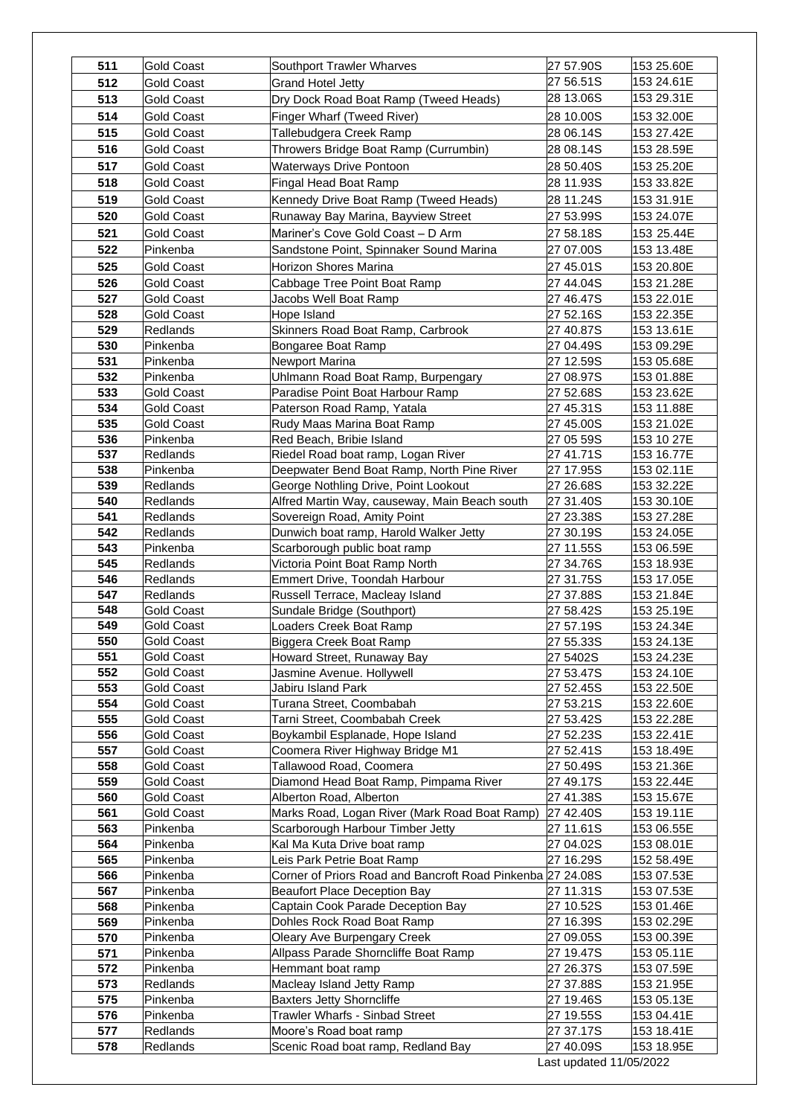| 511        | <b>Gold Coast</b>    | Southport Trawler Wharves                                                          | 27 57.90S               | 153 25.60E               |
|------------|----------------------|------------------------------------------------------------------------------------|-------------------------|--------------------------|
| 512        | <b>Gold Coast</b>    | <b>Grand Hotel Jetty</b>                                                           | 27 56.51S               | 153 24.61E               |
| 513        | <b>Gold Coast</b>    | Dry Dock Road Boat Ramp (Tweed Heads)                                              | 28 13.06S               | 153 29.31E               |
| 514        | <b>Gold Coast</b>    | Finger Wharf (Tweed River)                                                         | 28 10.00S               | 153 32.00E               |
| 515        | Gold Coast           | Tallebudgera Creek Ramp                                                            | 28 06.14S               | 153 27.42E               |
| 516        | <b>Gold Coast</b>    | Throwers Bridge Boat Ramp (Currumbin)                                              | 28 08.14S               | 153 28.59E               |
| 517        | <b>Gold Coast</b>    | Waterways Drive Pontoon                                                            | 28 50.40S               | 153 25.20E               |
| 518        | <b>Gold Coast</b>    | Fingal Head Boat Ramp                                                              | 28 11.93S               | 153 33.82E               |
| 519        | Gold Coast           |                                                                                    |                         |                          |
|            |                      | Kennedy Drive Boat Ramp (Tweed Heads)                                              | 28 11.24S               | 153 31.91E               |
| 520        | Gold Coast           | Runaway Bay Marina, Bayview Street                                                 | 27 53.99S               | 153 24.07E               |
| 521        | <b>Gold Coast</b>    | Mariner's Cove Gold Coast - D Arm                                                  | 27 58.18S               | 153 25.44E               |
| 522        | Pinkenba             | Sandstone Point, Spinnaker Sound Marina                                            | 27 07.00S               | 153 13.48E               |
| 525        | <b>Gold Coast</b>    | <b>Horizon Shores Marina</b>                                                       | 27 45.01S               | 153 20.80E               |
| 526        | <b>Gold Coast</b>    | Cabbage Tree Point Boat Ramp                                                       | 27 44.04S               | 153 21.28E               |
| 527        | <b>Gold Coast</b>    | Jacobs Well Boat Ramp                                                              | 27 46.47S               | 153 22.01E               |
| 528        | Gold Coast           | Hope Island                                                                        | 27 52.16S               | 153 22.35E               |
| 529        | Redlands             | Skinners Road Boat Ramp, Carbrook                                                  | 27 40.87S               | 153 13.61E               |
| 530        | Pinkenba             | Bongaree Boat Ramp                                                                 | 27 04.49S               | 153 09.29E               |
| 531        | Pinkenba             | Newport Marina                                                                     | 27 12.59S               | 153 05.68E               |
| 532        | Pinkenba             | Uhlmann Road Boat Ramp, Burpengary                                                 | 27 08.97S               | 153 01.88E               |
| 533        | <b>Gold Coast</b>    | Paradise Point Boat Harbour Ramp                                                   | 27 52.68S               | 153 23.62E               |
| 534        | <b>Gold Coast</b>    | Paterson Road Ramp, Yatala                                                         | 27 45.31S               | 153 11.88E               |
| 535        | <b>Gold Coast</b>    | Rudy Maas Marina Boat Ramp                                                         | 27 45.00S               | 153 21.02E               |
| 536        | Pinkenba             | Red Beach, Bribie Island                                                           | 27 05 59S               | 153 10 27E               |
| 537<br>538 | Redlands             | Riedel Road boat ramp, Logan River                                                 | 27 41.71S               | 153 16.77E               |
| 539        | Pinkenba<br>Redlands | Deepwater Bend Boat Ramp, North Pine River<br>George Nothling Drive, Point Lookout | 27 17.95S<br>27 26.68S  | 153 02.11E<br>153 32.22E |
| 540        | <b>Redlands</b>      | Alfred Martin Way, causeway, Main Beach south                                      | 27 31.40S               | 153 30.10E               |
| 541        | <b>Redlands</b>      | Sovereign Road, Amity Point                                                        | 27 23.38S               | 153 27.28E               |
| 542        | Redlands             | Dunwich boat ramp, Harold Walker Jetty                                             | 27 30.19S               | 153 24.05E               |
| 543        | Pinkenba             | Scarborough public boat ramp                                                       | 27 11.55S               | 153 06.59E               |
| 545        | Redlands             | Victoria Point Boat Ramp North                                                     | 27 34.76S               | 153 18.93E               |
| 546        | Redlands             | Emmert Drive, Toondah Harbour                                                      | 27 31.75S               | 153 17.05E               |
| 547        | Redlands             | Russell Terrace, Macleay Island                                                    | 27 37.88S               | 153 21.84E               |
| 548        | Gold Coast           | Sundale Bridge (Southport)                                                         | 27 58.42S               | 153 25.19E               |
| 549        | <b>Gold Coast</b>    | Loaders Creek Boat Ramp                                                            | 27 57.19S               | 153 24.34E               |
| 550        | Gold Coast           | Biggera Creek Boat Ramp                                                            | 27 55.33S               | 153 24.13E               |
| 551        | Gold Coast           | Howard Street, Runaway Bay                                                         | 27 5402S                | 153 24.23E               |
| 552        | <b>Gold Coast</b>    | Jasmine Avenue. Hollywell                                                          | 27 53.47S               | 153 24.10E               |
| 553        | <b>Gold Coast</b>    | Jabiru Island Park                                                                 | 27 52.45S               | 153 22.50E               |
| 554        | <b>Gold Coast</b>    | Turana Street, Coombabah                                                           | 27 53.21S               | 153 22.60E               |
| 555        | Gold Coast           | Tarni Street, Coombabah Creek                                                      | 27 53.42S               | 153 22.28E               |
| 556        | <b>Gold Coast</b>    | Boykambil Esplanade, Hope Island                                                   | 27 52.23S               | 153 22.41E               |
| 557        | <b>Gold Coast</b>    | Coomera River Highway Bridge M1                                                    | 27 52.41S               | 153 18.49E               |
| 558        | Gold Coast           | Tallawood Road, Coomera                                                            | 27 50.49S               | 153 21.36E               |
| 559        | Gold Coast           | Diamond Head Boat Ramp, Pimpama River                                              | 27 49.17S               | 153 22.44E               |
| 560        | Gold Coast           | Alberton Road, Alberton                                                            | 27 41.38S               | 153 15.67E               |
| 561        | Gold Coast           | Marks Road, Logan River (Mark Road Boat Ramp)                                      | 27 42.40S               | 153 19.11E               |
| 563        | Pinkenba             | Scarborough Harbour Timber Jetty                                                   | 27 11.61S               | 153 06.55E               |
| 564        | Pinkenba             | Kal Ma Kuta Drive boat ramp                                                        | 27 04.02S               | 153 08.01E               |
| 565        | Pinkenba             | Leis Park Petrie Boat Ramp                                                         | 27 16.29S               | 152 58.49E               |
| 566        | Pinkenba             | Corner of Priors Road and Bancroft Road Pinkenba 27 24.08S                         |                         | 153 07.53E               |
| 567<br>568 | Pinkenba             | <b>Beaufort Place Deception Bay</b>                                                | 27 11.31S               | 153 07.53E               |
| 569        | Pinkenba             | Captain Cook Parade Deception Bay<br>Dohles Rock Road Boat Ramp                    | 27 10.52S<br>27 16.39S  | 153 01.46E<br>153 02.29E |
| 570        | Pinkenba<br>Pinkenba | Oleary Ave Burpengary Creek                                                        | 27 09.05S               | 153 00.39E               |
| 571        | Pinkenba             | Allpass Parade Shorncliffe Boat Ramp                                               | 27 19.47S               | 153 05.11E               |
| 572        | Pinkenba             | Hemmant boat ramp                                                                  | 27 26.37S               | 153 07.59E               |
| 573        | Redlands             | Macleay Island Jetty Ramp                                                          | 27 37.88S               | 153 21.95E               |
| 575        | Pinkenba             | <b>Baxters Jetty Shorncliffe</b>                                                   | 27 19.46S               | 153 05.13E               |
| 576        | Pinkenba             | Trawler Wharfs - Sinbad Street                                                     | 27 19.55S               | 153 04.41E               |
| 577        | Redlands             | Moore's Road boat ramp                                                             | 27 37.17S               | 153 18.41E               |
| 578        | Redlands             | Scenic Road boat ramp, Redland Bay                                                 | 27 40.09S               | 153 18.95E               |
|            |                      |                                                                                    | Last updated 11/05/2022 |                          |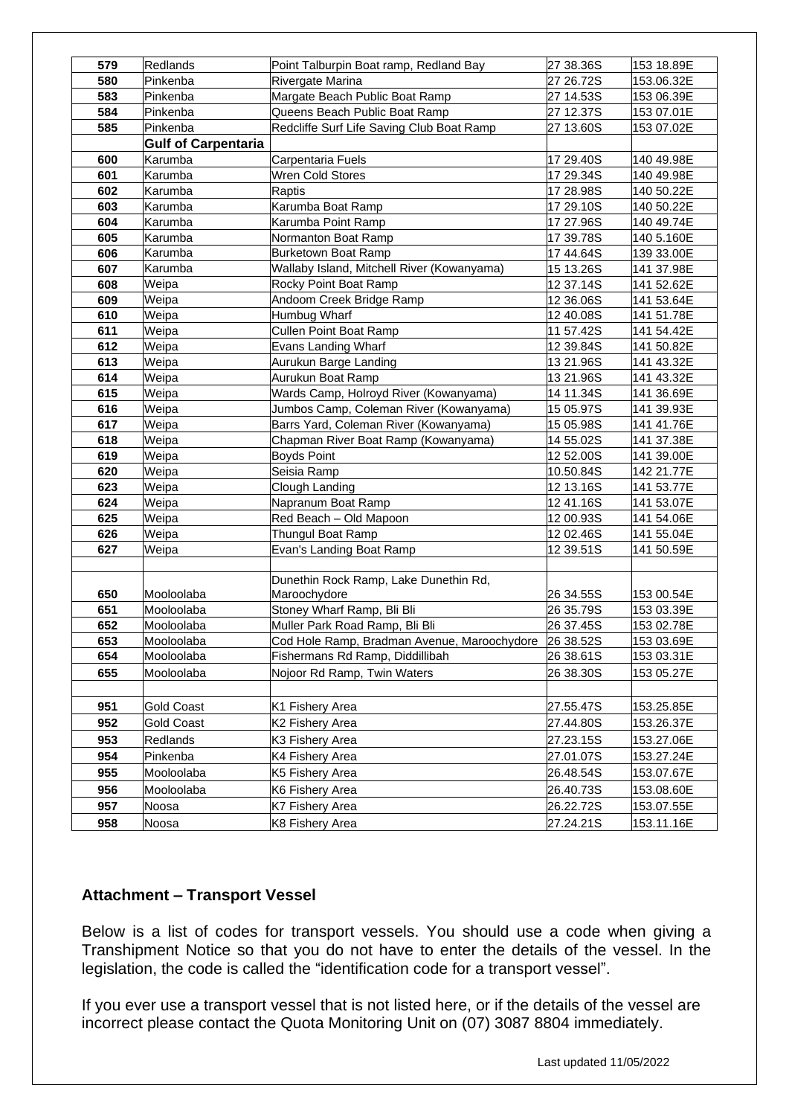| 580<br>Rivergate Marina<br>27 26.72S<br>153.06.32E<br>Pinkenba<br>583<br>Margate Beach Public Boat Ramp<br>Pinkenba<br>27 14.53S<br>153 06.39E<br>584<br>Pinkenba<br>Queens Beach Public Boat Ramp<br>27 12.37S<br>153 07.01E<br>585<br>Pinkenba<br>Redcliffe Surf Life Saving Club Boat Ramp<br>27 13.60S<br>153 07.02E<br><b>Gulf of Carpentaria</b><br>600<br>Karumba<br>Carpentaria Fuels<br>17 29.40S<br>140 49.98E<br>Karumba<br>Wren Cold Stores<br>601<br>17 29.34S<br>140 49.98E<br>602<br>Raptis<br>140 50.22E<br>Karumba<br>17 28.98S<br>Karumba Boat Ramp<br>603<br>Karumba<br>17 29.10S<br>140 50.22E<br>Karumba Point Ramp<br>140 49.74E<br>604<br>Karumba<br>17 27.96S<br>605<br>Karumba<br>Normanton Boat Ramp<br>17 39.78S<br>140 5.160E<br>606<br>Karumba<br><b>Burketown Boat Ramp</b><br>17 44.64S<br>139 33.00E<br>Wallaby Island, Mitchell River (Kowanyama)<br>Karumba<br>607<br>15 13.26S<br>141 37.98E<br>608<br>Weipa<br>Rocky Point Boat Ramp<br>12 37.14S<br>141 52.62E<br>609<br>Andoom Creek Bridge Ramp<br>Weipa<br>12 36.06S<br>141 53.64E<br>610<br>Weipa<br>Humbug Wharf<br>12 40.08S<br>141 51.78E<br>611<br><b>Cullen Point Boat Ramp</b><br>Weipa<br>11 57.42S<br>141 54.42E<br>Weipa<br>612<br>Evans Landing Wharf<br>12 39.84S<br>141 50.82E<br>613<br>Weipa<br>Aurukun Barge Landing<br>13 21.96S<br>141 43.32E<br>614<br>Weipa<br>Aurukun Boat Ramp<br>141 43.32E<br>13 21.96S<br>Weipa<br>Wards Camp, Holroyd River (Kowanyama)<br>615<br>14 11.34S<br>141 36.69E<br>616<br>Jumbos Camp, Coleman River (Kowanyama)<br>Weipa<br>15 05.97S<br>141 39.93E<br>Barrs Yard, Coleman River (Kowanyama)<br>617<br>Weipa<br>15 05.98S<br>141 41.76E<br>Weipa<br>Chapman River Boat Ramp (Kowanyama)<br>618<br>141 37.38E<br>14 55.02S<br>619<br>Weipa<br><b>Boyds Point</b><br>12 52.00S<br>141 39.00E<br>Seisia Ramp<br>142 21.77E<br>620<br>Weipa<br>10.50.84S<br>623<br>Weipa<br>Clough Landing<br>12 13.16S<br>141 53.77E<br>624<br>1241.16S<br>141 53.07E<br>Weipa<br>Napranum Boat Ramp<br>625<br>Weipa<br>Red Beach - Old Mapoon<br>12 00.93S<br>141 54.06E<br>Weipa<br>Thungul Boat Ramp<br>12 02.46S<br>141 55.04E<br>626<br>Evan's Landing Boat Ramp<br>627<br>Weipa<br>12 39.51S<br>141 50.59E<br>Dunethin Rock Ramp, Lake Dunethin Rd,<br>650<br>Mooloolaba<br>Maroochydore<br>26 34.55S<br>153 00.54E<br>Stoney Wharf Ramp, Bli Bli<br>651<br>Mooloolaba<br>26 35.79S<br>153 03.39E<br>652<br>Muller Park Road Ramp, Bli Bli<br>26 37.45S<br>Mooloolaba<br>153 02.78E<br>653<br>Cod Hole Ramp, Bradman Avenue, Maroochydore<br>26 38.52S<br>153 03.69E<br>Mooloolaba<br>654<br>26 38.61S<br>153 03.31E<br>Mooloolaba<br>Fishermans Rd Ramp, Diddillibah<br>655<br>Nojoor Rd Ramp, Twin Waters<br>26 38.30S<br>Mooloolaba<br>153 05.27E<br>951<br><b>Gold Coast</b><br>27.55.47S<br>153.25.85E<br>K1 Fishery Area<br>952<br><b>Gold Coast</b><br>27.44.80S<br>153.26.37E<br>K2 Fishery Area<br>953<br>27.23.15S<br>Redlands<br>K3 Fishery Area<br>153.27.06E<br>954<br>Pinkenba<br>K4 Fishery Area<br>27.01.07S<br>153.27.24E<br>955<br>Mooloolaba<br>K5 Fishery Area<br>26.48.54S<br>153.07.67E<br>956<br>26.40.73S<br>153.08.60E<br>Mooloolaba<br>K6 Fishery Area<br>957<br>26.22.72S<br>153.07.55E<br>Noosa<br>K7 Fishery Area<br>958<br>27.24.21S<br>153.11.16E<br>K8 Fishery Area<br>Noosa |     |          |                                        |           |            |
|----------------------------------------------------------------------------------------------------------------------------------------------------------------------------------------------------------------------------------------------------------------------------------------------------------------------------------------------------------------------------------------------------------------------------------------------------------------------------------------------------------------------------------------------------------------------------------------------------------------------------------------------------------------------------------------------------------------------------------------------------------------------------------------------------------------------------------------------------------------------------------------------------------------------------------------------------------------------------------------------------------------------------------------------------------------------------------------------------------------------------------------------------------------------------------------------------------------------------------------------------------------------------------------------------------------------------------------------------------------------------------------------------------------------------------------------------------------------------------------------------------------------------------------------------------------------------------------------------------------------------------------------------------------------------------------------------------------------------------------------------------------------------------------------------------------------------------------------------------------------------------------------------------------------------------------------------------------------------------------------------------------------------------------------------------------------------------------------------------------------------------------------------------------------------------------------------------------------------------------------------------------------------------------------------------------------------------------------------------------------------------------------------------------------------------------------------------------------------------------------------------------------------------------------------------------------------------------------------------------------------------------------------------------------------------------------------------------------------------------------------------------------------------------------------------------------------------------------------------------------------------------------------------------------------------------------------------------------------------------------------------------------------------------------------------------------------------------------------------------------------------------------------------------------------------------------------------------------------------------------------------------------------------------------------------------------------------------------|-----|----------|----------------------------------------|-----------|------------|
|                                                                                                                                                                                                                                                                                                                                                                                                                                                                                                                                                                                                                                                                                                                                                                                                                                                                                                                                                                                                                                                                                                                                                                                                                                                                                                                                                                                                                                                                                                                                                                                                                                                                                                                                                                                                                                                                                                                                                                                                                                                                                                                                                                                                                                                                                                                                                                                                                                                                                                                                                                                                                                                                                                                                                                                                                                                                                                                                                                                                                                                                                                                                                                                                                                                                                                                                              | 579 | Redlands | Point Talburpin Boat ramp, Redland Bay | 27 38.36S | 153 18.89E |
|                                                                                                                                                                                                                                                                                                                                                                                                                                                                                                                                                                                                                                                                                                                                                                                                                                                                                                                                                                                                                                                                                                                                                                                                                                                                                                                                                                                                                                                                                                                                                                                                                                                                                                                                                                                                                                                                                                                                                                                                                                                                                                                                                                                                                                                                                                                                                                                                                                                                                                                                                                                                                                                                                                                                                                                                                                                                                                                                                                                                                                                                                                                                                                                                                                                                                                                                              |     |          |                                        |           |            |
|                                                                                                                                                                                                                                                                                                                                                                                                                                                                                                                                                                                                                                                                                                                                                                                                                                                                                                                                                                                                                                                                                                                                                                                                                                                                                                                                                                                                                                                                                                                                                                                                                                                                                                                                                                                                                                                                                                                                                                                                                                                                                                                                                                                                                                                                                                                                                                                                                                                                                                                                                                                                                                                                                                                                                                                                                                                                                                                                                                                                                                                                                                                                                                                                                                                                                                                                              |     |          |                                        |           |            |
|                                                                                                                                                                                                                                                                                                                                                                                                                                                                                                                                                                                                                                                                                                                                                                                                                                                                                                                                                                                                                                                                                                                                                                                                                                                                                                                                                                                                                                                                                                                                                                                                                                                                                                                                                                                                                                                                                                                                                                                                                                                                                                                                                                                                                                                                                                                                                                                                                                                                                                                                                                                                                                                                                                                                                                                                                                                                                                                                                                                                                                                                                                                                                                                                                                                                                                                                              |     |          |                                        |           |            |
|                                                                                                                                                                                                                                                                                                                                                                                                                                                                                                                                                                                                                                                                                                                                                                                                                                                                                                                                                                                                                                                                                                                                                                                                                                                                                                                                                                                                                                                                                                                                                                                                                                                                                                                                                                                                                                                                                                                                                                                                                                                                                                                                                                                                                                                                                                                                                                                                                                                                                                                                                                                                                                                                                                                                                                                                                                                                                                                                                                                                                                                                                                                                                                                                                                                                                                                                              |     |          |                                        |           |            |
|                                                                                                                                                                                                                                                                                                                                                                                                                                                                                                                                                                                                                                                                                                                                                                                                                                                                                                                                                                                                                                                                                                                                                                                                                                                                                                                                                                                                                                                                                                                                                                                                                                                                                                                                                                                                                                                                                                                                                                                                                                                                                                                                                                                                                                                                                                                                                                                                                                                                                                                                                                                                                                                                                                                                                                                                                                                                                                                                                                                                                                                                                                                                                                                                                                                                                                                                              |     |          |                                        |           |            |
|                                                                                                                                                                                                                                                                                                                                                                                                                                                                                                                                                                                                                                                                                                                                                                                                                                                                                                                                                                                                                                                                                                                                                                                                                                                                                                                                                                                                                                                                                                                                                                                                                                                                                                                                                                                                                                                                                                                                                                                                                                                                                                                                                                                                                                                                                                                                                                                                                                                                                                                                                                                                                                                                                                                                                                                                                                                                                                                                                                                                                                                                                                                                                                                                                                                                                                                                              |     |          |                                        |           |            |
|                                                                                                                                                                                                                                                                                                                                                                                                                                                                                                                                                                                                                                                                                                                                                                                                                                                                                                                                                                                                                                                                                                                                                                                                                                                                                                                                                                                                                                                                                                                                                                                                                                                                                                                                                                                                                                                                                                                                                                                                                                                                                                                                                                                                                                                                                                                                                                                                                                                                                                                                                                                                                                                                                                                                                                                                                                                                                                                                                                                                                                                                                                                                                                                                                                                                                                                                              |     |          |                                        |           |            |
|                                                                                                                                                                                                                                                                                                                                                                                                                                                                                                                                                                                                                                                                                                                                                                                                                                                                                                                                                                                                                                                                                                                                                                                                                                                                                                                                                                                                                                                                                                                                                                                                                                                                                                                                                                                                                                                                                                                                                                                                                                                                                                                                                                                                                                                                                                                                                                                                                                                                                                                                                                                                                                                                                                                                                                                                                                                                                                                                                                                                                                                                                                                                                                                                                                                                                                                                              |     |          |                                        |           |            |
|                                                                                                                                                                                                                                                                                                                                                                                                                                                                                                                                                                                                                                                                                                                                                                                                                                                                                                                                                                                                                                                                                                                                                                                                                                                                                                                                                                                                                                                                                                                                                                                                                                                                                                                                                                                                                                                                                                                                                                                                                                                                                                                                                                                                                                                                                                                                                                                                                                                                                                                                                                                                                                                                                                                                                                                                                                                                                                                                                                                                                                                                                                                                                                                                                                                                                                                                              |     |          |                                        |           |            |
|                                                                                                                                                                                                                                                                                                                                                                                                                                                                                                                                                                                                                                                                                                                                                                                                                                                                                                                                                                                                                                                                                                                                                                                                                                                                                                                                                                                                                                                                                                                                                                                                                                                                                                                                                                                                                                                                                                                                                                                                                                                                                                                                                                                                                                                                                                                                                                                                                                                                                                                                                                                                                                                                                                                                                                                                                                                                                                                                                                                                                                                                                                                                                                                                                                                                                                                                              |     |          |                                        |           |            |
|                                                                                                                                                                                                                                                                                                                                                                                                                                                                                                                                                                                                                                                                                                                                                                                                                                                                                                                                                                                                                                                                                                                                                                                                                                                                                                                                                                                                                                                                                                                                                                                                                                                                                                                                                                                                                                                                                                                                                                                                                                                                                                                                                                                                                                                                                                                                                                                                                                                                                                                                                                                                                                                                                                                                                                                                                                                                                                                                                                                                                                                                                                                                                                                                                                                                                                                                              |     |          |                                        |           |            |
|                                                                                                                                                                                                                                                                                                                                                                                                                                                                                                                                                                                                                                                                                                                                                                                                                                                                                                                                                                                                                                                                                                                                                                                                                                                                                                                                                                                                                                                                                                                                                                                                                                                                                                                                                                                                                                                                                                                                                                                                                                                                                                                                                                                                                                                                                                                                                                                                                                                                                                                                                                                                                                                                                                                                                                                                                                                                                                                                                                                                                                                                                                                                                                                                                                                                                                                                              |     |          |                                        |           |            |
|                                                                                                                                                                                                                                                                                                                                                                                                                                                                                                                                                                                                                                                                                                                                                                                                                                                                                                                                                                                                                                                                                                                                                                                                                                                                                                                                                                                                                                                                                                                                                                                                                                                                                                                                                                                                                                                                                                                                                                                                                                                                                                                                                                                                                                                                                                                                                                                                                                                                                                                                                                                                                                                                                                                                                                                                                                                                                                                                                                                                                                                                                                                                                                                                                                                                                                                                              |     |          |                                        |           |            |
|                                                                                                                                                                                                                                                                                                                                                                                                                                                                                                                                                                                                                                                                                                                                                                                                                                                                                                                                                                                                                                                                                                                                                                                                                                                                                                                                                                                                                                                                                                                                                                                                                                                                                                                                                                                                                                                                                                                                                                                                                                                                                                                                                                                                                                                                                                                                                                                                                                                                                                                                                                                                                                                                                                                                                                                                                                                                                                                                                                                                                                                                                                                                                                                                                                                                                                                                              |     |          |                                        |           |            |
|                                                                                                                                                                                                                                                                                                                                                                                                                                                                                                                                                                                                                                                                                                                                                                                                                                                                                                                                                                                                                                                                                                                                                                                                                                                                                                                                                                                                                                                                                                                                                                                                                                                                                                                                                                                                                                                                                                                                                                                                                                                                                                                                                                                                                                                                                                                                                                                                                                                                                                                                                                                                                                                                                                                                                                                                                                                                                                                                                                                                                                                                                                                                                                                                                                                                                                                                              |     |          |                                        |           |            |
|                                                                                                                                                                                                                                                                                                                                                                                                                                                                                                                                                                                                                                                                                                                                                                                                                                                                                                                                                                                                                                                                                                                                                                                                                                                                                                                                                                                                                                                                                                                                                                                                                                                                                                                                                                                                                                                                                                                                                                                                                                                                                                                                                                                                                                                                                                                                                                                                                                                                                                                                                                                                                                                                                                                                                                                                                                                                                                                                                                                                                                                                                                                                                                                                                                                                                                                                              |     |          |                                        |           |            |
|                                                                                                                                                                                                                                                                                                                                                                                                                                                                                                                                                                                                                                                                                                                                                                                                                                                                                                                                                                                                                                                                                                                                                                                                                                                                                                                                                                                                                                                                                                                                                                                                                                                                                                                                                                                                                                                                                                                                                                                                                                                                                                                                                                                                                                                                                                                                                                                                                                                                                                                                                                                                                                                                                                                                                                                                                                                                                                                                                                                                                                                                                                                                                                                                                                                                                                                                              |     |          |                                        |           |            |
|                                                                                                                                                                                                                                                                                                                                                                                                                                                                                                                                                                                                                                                                                                                                                                                                                                                                                                                                                                                                                                                                                                                                                                                                                                                                                                                                                                                                                                                                                                                                                                                                                                                                                                                                                                                                                                                                                                                                                                                                                                                                                                                                                                                                                                                                                                                                                                                                                                                                                                                                                                                                                                                                                                                                                                                                                                                                                                                                                                                                                                                                                                                                                                                                                                                                                                                                              |     |          |                                        |           |            |
|                                                                                                                                                                                                                                                                                                                                                                                                                                                                                                                                                                                                                                                                                                                                                                                                                                                                                                                                                                                                                                                                                                                                                                                                                                                                                                                                                                                                                                                                                                                                                                                                                                                                                                                                                                                                                                                                                                                                                                                                                                                                                                                                                                                                                                                                                                                                                                                                                                                                                                                                                                                                                                                                                                                                                                                                                                                                                                                                                                                                                                                                                                                                                                                                                                                                                                                                              |     |          |                                        |           |            |
|                                                                                                                                                                                                                                                                                                                                                                                                                                                                                                                                                                                                                                                                                                                                                                                                                                                                                                                                                                                                                                                                                                                                                                                                                                                                                                                                                                                                                                                                                                                                                                                                                                                                                                                                                                                                                                                                                                                                                                                                                                                                                                                                                                                                                                                                                                                                                                                                                                                                                                                                                                                                                                                                                                                                                                                                                                                                                                                                                                                                                                                                                                                                                                                                                                                                                                                                              |     |          |                                        |           |            |
|                                                                                                                                                                                                                                                                                                                                                                                                                                                                                                                                                                                                                                                                                                                                                                                                                                                                                                                                                                                                                                                                                                                                                                                                                                                                                                                                                                                                                                                                                                                                                                                                                                                                                                                                                                                                                                                                                                                                                                                                                                                                                                                                                                                                                                                                                                                                                                                                                                                                                                                                                                                                                                                                                                                                                                                                                                                                                                                                                                                                                                                                                                                                                                                                                                                                                                                                              |     |          |                                        |           |            |
|                                                                                                                                                                                                                                                                                                                                                                                                                                                                                                                                                                                                                                                                                                                                                                                                                                                                                                                                                                                                                                                                                                                                                                                                                                                                                                                                                                                                                                                                                                                                                                                                                                                                                                                                                                                                                                                                                                                                                                                                                                                                                                                                                                                                                                                                                                                                                                                                                                                                                                                                                                                                                                                                                                                                                                                                                                                                                                                                                                                                                                                                                                                                                                                                                                                                                                                                              |     |          |                                        |           |            |
|                                                                                                                                                                                                                                                                                                                                                                                                                                                                                                                                                                                                                                                                                                                                                                                                                                                                                                                                                                                                                                                                                                                                                                                                                                                                                                                                                                                                                                                                                                                                                                                                                                                                                                                                                                                                                                                                                                                                                                                                                                                                                                                                                                                                                                                                                                                                                                                                                                                                                                                                                                                                                                                                                                                                                                                                                                                                                                                                                                                                                                                                                                                                                                                                                                                                                                                                              |     |          |                                        |           |            |
|                                                                                                                                                                                                                                                                                                                                                                                                                                                                                                                                                                                                                                                                                                                                                                                                                                                                                                                                                                                                                                                                                                                                                                                                                                                                                                                                                                                                                                                                                                                                                                                                                                                                                                                                                                                                                                                                                                                                                                                                                                                                                                                                                                                                                                                                                                                                                                                                                                                                                                                                                                                                                                                                                                                                                                                                                                                                                                                                                                                                                                                                                                                                                                                                                                                                                                                                              |     |          |                                        |           |            |
|                                                                                                                                                                                                                                                                                                                                                                                                                                                                                                                                                                                                                                                                                                                                                                                                                                                                                                                                                                                                                                                                                                                                                                                                                                                                                                                                                                                                                                                                                                                                                                                                                                                                                                                                                                                                                                                                                                                                                                                                                                                                                                                                                                                                                                                                                                                                                                                                                                                                                                                                                                                                                                                                                                                                                                                                                                                                                                                                                                                                                                                                                                                                                                                                                                                                                                                                              |     |          |                                        |           |            |
|                                                                                                                                                                                                                                                                                                                                                                                                                                                                                                                                                                                                                                                                                                                                                                                                                                                                                                                                                                                                                                                                                                                                                                                                                                                                                                                                                                                                                                                                                                                                                                                                                                                                                                                                                                                                                                                                                                                                                                                                                                                                                                                                                                                                                                                                                                                                                                                                                                                                                                                                                                                                                                                                                                                                                                                                                                                                                                                                                                                                                                                                                                                                                                                                                                                                                                                                              |     |          |                                        |           |            |
|                                                                                                                                                                                                                                                                                                                                                                                                                                                                                                                                                                                                                                                                                                                                                                                                                                                                                                                                                                                                                                                                                                                                                                                                                                                                                                                                                                                                                                                                                                                                                                                                                                                                                                                                                                                                                                                                                                                                                                                                                                                                                                                                                                                                                                                                                                                                                                                                                                                                                                                                                                                                                                                                                                                                                                                                                                                                                                                                                                                                                                                                                                                                                                                                                                                                                                                                              |     |          |                                        |           |            |
|                                                                                                                                                                                                                                                                                                                                                                                                                                                                                                                                                                                                                                                                                                                                                                                                                                                                                                                                                                                                                                                                                                                                                                                                                                                                                                                                                                                                                                                                                                                                                                                                                                                                                                                                                                                                                                                                                                                                                                                                                                                                                                                                                                                                                                                                                                                                                                                                                                                                                                                                                                                                                                                                                                                                                                                                                                                                                                                                                                                                                                                                                                                                                                                                                                                                                                                                              |     |          |                                        |           |            |
|                                                                                                                                                                                                                                                                                                                                                                                                                                                                                                                                                                                                                                                                                                                                                                                                                                                                                                                                                                                                                                                                                                                                                                                                                                                                                                                                                                                                                                                                                                                                                                                                                                                                                                                                                                                                                                                                                                                                                                                                                                                                                                                                                                                                                                                                                                                                                                                                                                                                                                                                                                                                                                                                                                                                                                                                                                                                                                                                                                                                                                                                                                                                                                                                                                                                                                                                              |     |          |                                        |           |            |
|                                                                                                                                                                                                                                                                                                                                                                                                                                                                                                                                                                                                                                                                                                                                                                                                                                                                                                                                                                                                                                                                                                                                                                                                                                                                                                                                                                                                                                                                                                                                                                                                                                                                                                                                                                                                                                                                                                                                                                                                                                                                                                                                                                                                                                                                                                                                                                                                                                                                                                                                                                                                                                                                                                                                                                                                                                                                                                                                                                                                                                                                                                                                                                                                                                                                                                                                              |     |          |                                        |           |            |
|                                                                                                                                                                                                                                                                                                                                                                                                                                                                                                                                                                                                                                                                                                                                                                                                                                                                                                                                                                                                                                                                                                                                                                                                                                                                                                                                                                                                                                                                                                                                                                                                                                                                                                                                                                                                                                                                                                                                                                                                                                                                                                                                                                                                                                                                                                                                                                                                                                                                                                                                                                                                                                                                                                                                                                                                                                                                                                                                                                                                                                                                                                                                                                                                                                                                                                                                              |     |          |                                        |           |            |
|                                                                                                                                                                                                                                                                                                                                                                                                                                                                                                                                                                                                                                                                                                                                                                                                                                                                                                                                                                                                                                                                                                                                                                                                                                                                                                                                                                                                                                                                                                                                                                                                                                                                                                                                                                                                                                                                                                                                                                                                                                                                                                                                                                                                                                                                                                                                                                                                                                                                                                                                                                                                                                                                                                                                                                                                                                                                                                                                                                                                                                                                                                                                                                                                                                                                                                                                              |     |          |                                        |           |            |
|                                                                                                                                                                                                                                                                                                                                                                                                                                                                                                                                                                                                                                                                                                                                                                                                                                                                                                                                                                                                                                                                                                                                                                                                                                                                                                                                                                                                                                                                                                                                                                                                                                                                                                                                                                                                                                                                                                                                                                                                                                                                                                                                                                                                                                                                                                                                                                                                                                                                                                                                                                                                                                                                                                                                                                                                                                                                                                                                                                                                                                                                                                                                                                                                                                                                                                                                              |     |          |                                        |           |            |
|                                                                                                                                                                                                                                                                                                                                                                                                                                                                                                                                                                                                                                                                                                                                                                                                                                                                                                                                                                                                                                                                                                                                                                                                                                                                                                                                                                                                                                                                                                                                                                                                                                                                                                                                                                                                                                                                                                                                                                                                                                                                                                                                                                                                                                                                                                                                                                                                                                                                                                                                                                                                                                                                                                                                                                                                                                                                                                                                                                                                                                                                                                                                                                                                                                                                                                                                              |     |          |                                        |           |            |
|                                                                                                                                                                                                                                                                                                                                                                                                                                                                                                                                                                                                                                                                                                                                                                                                                                                                                                                                                                                                                                                                                                                                                                                                                                                                                                                                                                                                                                                                                                                                                                                                                                                                                                                                                                                                                                                                                                                                                                                                                                                                                                                                                                                                                                                                                                                                                                                                                                                                                                                                                                                                                                                                                                                                                                                                                                                                                                                                                                                                                                                                                                                                                                                                                                                                                                                                              |     |          |                                        |           |            |
|                                                                                                                                                                                                                                                                                                                                                                                                                                                                                                                                                                                                                                                                                                                                                                                                                                                                                                                                                                                                                                                                                                                                                                                                                                                                                                                                                                                                                                                                                                                                                                                                                                                                                                                                                                                                                                                                                                                                                                                                                                                                                                                                                                                                                                                                                                                                                                                                                                                                                                                                                                                                                                                                                                                                                                                                                                                                                                                                                                                                                                                                                                                                                                                                                                                                                                                                              |     |          |                                        |           |            |
|                                                                                                                                                                                                                                                                                                                                                                                                                                                                                                                                                                                                                                                                                                                                                                                                                                                                                                                                                                                                                                                                                                                                                                                                                                                                                                                                                                                                                                                                                                                                                                                                                                                                                                                                                                                                                                                                                                                                                                                                                                                                                                                                                                                                                                                                                                                                                                                                                                                                                                                                                                                                                                                                                                                                                                                                                                                                                                                                                                                                                                                                                                                                                                                                                                                                                                                                              |     |          |                                        |           |            |
|                                                                                                                                                                                                                                                                                                                                                                                                                                                                                                                                                                                                                                                                                                                                                                                                                                                                                                                                                                                                                                                                                                                                                                                                                                                                                                                                                                                                                                                                                                                                                                                                                                                                                                                                                                                                                                                                                                                                                                                                                                                                                                                                                                                                                                                                                                                                                                                                                                                                                                                                                                                                                                                                                                                                                                                                                                                                                                                                                                                                                                                                                                                                                                                                                                                                                                                                              |     |          |                                        |           |            |
|                                                                                                                                                                                                                                                                                                                                                                                                                                                                                                                                                                                                                                                                                                                                                                                                                                                                                                                                                                                                                                                                                                                                                                                                                                                                                                                                                                                                                                                                                                                                                                                                                                                                                                                                                                                                                                                                                                                                                                                                                                                                                                                                                                                                                                                                                                                                                                                                                                                                                                                                                                                                                                                                                                                                                                                                                                                                                                                                                                                                                                                                                                                                                                                                                                                                                                                                              |     |          |                                        |           |            |
|                                                                                                                                                                                                                                                                                                                                                                                                                                                                                                                                                                                                                                                                                                                                                                                                                                                                                                                                                                                                                                                                                                                                                                                                                                                                                                                                                                                                                                                                                                                                                                                                                                                                                                                                                                                                                                                                                                                                                                                                                                                                                                                                                                                                                                                                                                                                                                                                                                                                                                                                                                                                                                                                                                                                                                                                                                                                                                                                                                                                                                                                                                                                                                                                                                                                                                                                              |     |          |                                        |           |            |
|                                                                                                                                                                                                                                                                                                                                                                                                                                                                                                                                                                                                                                                                                                                                                                                                                                                                                                                                                                                                                                                                                                                                                                                                                                                                                                                                                                                                                                                                                                                                                                                                                                                                                                                                                                                                                                                                                                                                                                                                                                                                                                                                                                                                                                                                                                                                                                                                                                                                                                                                                                                                                                                                                                                                                                                                                                                                                                                                                                                                                                                                                                                                                                                                                                                                                                                                              |     |          |                                        |           |            |
|                                                                                                                                                                                                                                                                                                                                                                                                                                                                                                                                                                                                                                                                                                                                                                                                                                                                                                                                                                                                                                                                                                                                                                                                                                                                                                                                                                                                                                                                                                                                                                                                                                                                                                                                                                                                                                                                                                                                                                                                                                                                                                                                                                                                                                                                                                                                                                                                                                                                                                                                                                                                                                                                                                                                                                                                                                                                                                                                                                                                                                                                                                                                                                                                                                                                                                                                              |     |          |                                        |           |            |
|                                                                                                                                                                                                                                                                                                                                                                                                                                                                                                                                                                                                                                                                                                                                                                                                                                                                                                                                                                                                                                                                                                                                                                                                                                                                                                                                                                                                                                                                                                                                                                                                                                                                                                                                                                                                                                                                                                                                                                                                                                                                                                                                                                                                                                                                                                                                                                                                                                                                                                                                                                                                                                                                                                                                                                                                                                                                                                                                                                                                                                                                                                                                                                                                                                                                                                                                              |     |          |                                        |           |            |
|                                                                                                                                                                                                                                                                                                                                                                                                                                                                                                                                                                                                                                                                                                                                                                                                                                                                                                                                                                                                                                                                                                                                                                                                                                                                                                                                                                                                                                                                                                                                                                                                                                                                                                                                                                                                                                                                                                                                                                                                                                                                                                                                                                                                                                                                                                                                                                                                                                                                                                                                                                                                                                                                                                                                                                                                                                                                                                                                                                                                                                                                                                                                                                                                                                                                                                                                              |     |          |                                        |           |            |
|                                                                                                                                                                                                                                                                                                                                                                                                                                                                                                                                                                                                                                                                                                                                                                                                                                                                                                                                                                                                                                                                                                                                                                                                                                                                                                                                                                                                                                                                                                                                                                                                                                                                                                                                                                                                                                                                                                                                                                                                                                                                                                                                                                                                                                                                                                                                                                                                                                                                                                                                                                                                                                                                                                                                                                                                                                                                                                                                                                                                                                                                                                                                                                                                                                                                                                                                              |     |          |                                        |           |            |
|                                                                                                                                                                                                                                                                                                                                                                                                                                                                                                                                                                                                                                                                                                                                                                                                                                                                                                                                                                                                                                                                                                                                                                                                                                                                                                                                                                                                                                                                                                                                                                                                                                                                                                                                                                                                                                                                                                                                                                                                                                                                                                                                                                                                                                                                                                                                                                                                                                                                                                                                                                                                                                                                                                                                                                                                                                                                                                                                                                                                                                                                                                                                                                                                                                                                                                                                              |     |          |                                        |           |            |
|                                                                                                                                                                                                                                                                                                                                                                                                                                                                                                                                                                                                                                                                                                                                                                                                                                                                                                                                                                                                                                                                                                                                                                                                                                                                                                                                                                                                                                                                                                                                                                                                                                                                                                                                                                                                                                                                                                                                                                                                                                                                                                                                                                                                                                                                                                                                                                                                                                                                                                                                                                                                                                                                                                                                                                                                                                                                                                                                                                                                                                                                                                                                                                                                                                                                                                                                              |     |          |                                        |           |            |
|                                                                                                                                                                                                                                                                                                                                                                                                                                                                                                                                                                                                                                                                                                                                                                                                                                                                                                                                                                                                                                                                                                                                                                                                                                                                                                                                                                                                                                                                                                                                                                                                                                                                                                                                                                                                                                                                                                                                                                                                                                                                                                                                                                                                                                                                                                                                                                                                                                                                                                                                                                                                                                                                                                                                                                                                                                                                                                                                                                                                                                                                                                                                                                                                                                                                                                                                              |     |          |                                        |           |            |

## **Attachment – Transport Vessel**

Below is a list of codes for transport vessels. You should use a code when giving a Transhipment Notice so that you do not have to enter the details of the vessel. In the legislation, the code is called the "identification code for a transport vessel".

If you ever use a transport vessel that is not listed here, or if the details of the vessel are incorrect please contact the Quota Monitoring Unit on (07) 3087 8804 immediately.